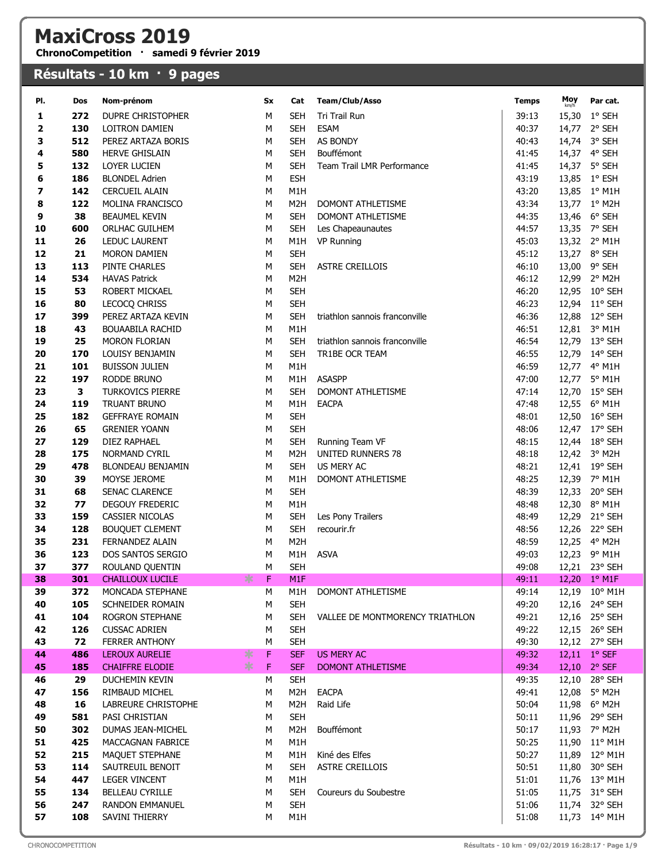## MaxiCross 2019

ChronoCompetition · samedi 9 février 2019

## Résultats - 10 km · 9 pages

| PI. | Dos | Nom-prénom                       | Sx | Cat              | Team/Club/Asso                  | Temps | Moy<br>km/h | Par cat.         |
|-----|-----|----------------------------------|----|------------------|---------------------------------|-------|-------------|------------------|
| 1   | 272 | <b>DUPRE CHRISTOPHER</b>         | м  | <b>SEH</b>       | Tri Trail Run                   | 39:13 | 15,30       | 1° SEH           |
| 2   | 130 | LOITRON DAMIEN                   | M  | <b>SEH</b>       | <b>ESAM</b>                     | 40:37 | 14,77       | 2° SEH           |
| 3   | 512 | PEREZ ARTAZA BORIS               | М  | <b>SEH</b>       | AS BONDY                        | 40:43 |             | 14,74 3° SEH     |
| 4   | 580 | <b>HERVE GHISLAIN</b>            | M  | <b>SEH</b>       | Bouffémont                      | 41:45 |             | 14,37 4° SEH     |
| 5   | 132 | LOYER LUCIEN                     | м  | <b>SEH</b>       | Team Trail LMR Performance      | 41:45 |             | 14,37 5° SEH     |
| 6   | 186 | <b>BLONDEL Adrien</b>            | м  | <b>ESH</b>       |                                 | 43:19 |             | 13,85 1° ESH     |
| 7   | 142 | <b>CERCUEIL ALAIN</b>            | М  | M1H              |                                 | 43:20 |             | 13,85 1° M1H     |
| 8   | 122 | MOLINA FRANCISCO                 | M  | M <sub>2</sub> H | <b>DOMONT ATHLETISME</b>        | 43:34 |             | 13,77 1° M2H     |
| 9   | 38  | <b>BEAUMEL KEVIN</b>             | м  | <b>SEH</b>       | <b>DOMONT ATHLETISME</b>        | 44:35 |             | 13,46 6° SEH     |
| 10  | 600 | ORLHAC GUILHEM                   | М  | <b>SEH</b>       | Les Chapeaunautes               | 44:57 |             | 13,35 7° SEH     |
| 11  | 26  | LEDUC LAURENT                    | М  | M1H              | <b>VP Running</b>               | 45:03 |             | 13,32 2° M1H     |
| 12  | 21  | <b>MORON DAMIEN</b>              | М  | <b>SEH</b>       |                                 | 45:12 |             | 13,27 8° SEH     |
| 13  | 113 | PINTE CHARLES                    | M  | <b>SEH</b>       | <b>ASTRE CREILLOIS</b>          | 46:10 | 13,00       | 9° SEH           |
| 14  | 534 | <b>HAVAS Patrick</b>             | M  | M <sub>2</sub> H |                                 | 46:12 | 12,99       | 2° M2H           |
| 15  | 53  | ROBERT MICKAEL                   | M  | <b>SEH</b>       |                                 | 46:20 |             | 12,95 10° SEH    |
| 16  | 80  | LECOCQ CHRISS                    | М  | <b>SEH</b>       |                                 | 46:23 |             | 12,94 11° SEH    |
| 17  | 399 | PEREZ ARTAZA KEVIN               | М  | <b>SEH</b>       | triathlon sannois franconville  | 46:36 | 12,88       | 12° SEH          |
| 18  | 43  | <b>BOUAABILA RACHID</b>          | м  | M <sub>1</sub> H |                                 | 46:51 |             | 12,81 3° M1H     |
| 19  | 25  | MORON FLORIAN                    | М  | <b>SEH</b>       | triathlon sannois franconville  | 46:54 |             | 12,79 13° SEH    |
| 20  | 170 | LOUISY BENJAMIN                  | M  | <b>SEH</b>       | TR1BE OCR TEAM                  | 46:55 | 12,79       | $14^{\circ}$ SEH |
| 21  | 101 | <b>BUISSON JULIEN</b>            | M  | M1H              |                                 | 46:59 | 12,77       | $4^{\circ}$ M1H  |
| 22  | 197 | RODDE BRUNO                      | М  | M1H              | <b>ASASPP</b>                   | 47:00 | 12,77       | 5° M1H           |
| 23  | 3   | <b>TURKOVICS PIERRE</b>          | М  | <b>SEH</b>       | DOMONT ATHLETISME               | 47:14 | 12,70       | $15^{\circ}$ SEH |
| 24  | 119 | <b>TRUANT BRUNO</b>              | М  | M1H              | <b>EACPA</b>                    | 47:48 |             | 12,55 6° M1H     |
| 25  | 182 | <b>GEFFRAYE ROMAIN</b>           | M  | <b>SEH</b>       |                                 | 48:01 |             | 12,50 16° SEH    |
| 26  | 65  | <b>GRENIER YOANN</b>             | M  | <b>SEH</b>       |                                 | 48:06 | 12,47       | 17° SEH          |
| 27  | 129 | DIEZ RAPHAEL                     | M  | <b>SEH</b>       | Running Team VF                 | 48:15 |             | 12,44 18° SEH    |
| 28  | 175 | <b>NORMAND CYRIL</b>             | М  | M <sub>2</sub> H | <b>UNITED RUNNERS 78</b>        | 48:18 |             | 12,42 3° M2H     |
| 29  | 478 | BLONDEAU BENJAMIN                | м  | <b>SEH</b>       | <b>US MERY AC</b>               | 48:21 |             | 12,41 19° SEH    |
| 30  | 39  | MOYSE JEROME                     | м  | M <sub>1</sub> H | DOMONT ATHLETISME               | 48:25 |             | 12,39 7° M1H     |
| 31  | 68  | SENAC CLARENCE                   | М  | <b>SEH</b>       |                                 | 48:39 |             | 12,33 20° SEH    |
| 32  | 77  | DEGOUY FREDERIC                  | M  | M <sub>1</sub> H |                                 | 48:48 | 12,30       | 8° M1H           |
| 33  | 159 | CASSIER NICOLAS                  | м  | <b>SEH</b>       | Les Pony Trailers               | 48:49 |             | 12,29 21° SEH    |
| 34  | 128 | <b>BOUQUET CLEMENT</b>           | М  | <b>SEH</b>       | recourir.fr                     | 48:56 |             | 12,26 22° SEH    |
| 35  | 231 | FERNANDEZ ALAIN                  | M  | M <sub>2</sub> H |                                 | 48:59 |             | 12,25 4° M2H     |
| 36  | 123 | DOS SANTOS SERGIO                | м  | M1H              | <b>ASVA</b>                     | 49:03 |             | 12,23 9° M1H     |
| 37  | 377 | ROULAND QUENTIN                  | М  | <b>SEH</b>       |                                 | 49:08 |             | 12,21 23° SEH    |
| 38  | 301 | $* F$<br><b>CHAILLOUX LUCILE</b> |    | M1F              |                                 | 49:11 |             | 12,20 1° M1F     |
| 39  | 372 | MONCADA STEPHANE                 | м  | M1H              | DOMONT ATHLETISME               | 49:14 |             | 12,19 10° M1H    |
| 40  | 105 | SCHNEIDER ROMAIN                 | м  | <b>SEH</b>       |                                 | 49:20 |             | 12,16 24° SEH    |
| 41  | 104 | ROGRON STEPHANE                  | М  | SEH              | VALLEE DE MONTMORENCY TRIATHLON | 49:21 |             | 12,16 25° SEH    |
| 42  | 126 | <b>CUSSAC ADRIEN</b>             | м  | <b>SEH</b>       |                                 | 49:22 |             | 12,15 26° SEH    |
| 43  | 72  | <b>FERRER ANTHONY</b>            | М  | <b>SEH</b>       |                                 | 49:30 |             | 12,12 27° SEH    |
| 44  | 486 | LEROUX AURELIE<br>∗              | F  | <b>SEF</b>       | <b>US MERY AC</b>               | 49:32 |             | 12,11 1° SEF     |
| 45  | 185 | ∗<br><b>CHAIFFRE ELODIE</b>      | F  | <b>SEF</b>       | DOMONT ATHLETISME               | 49:34 |             | 12,10 2° SEF     |
| 46  | 29  | DUCHEMIN KEVIN                   | М  | <b>SEH</b>       |                                 | 49:35 |             | 12,10 28° SEH    |
| 47  | 156 | RIMBAUD MICHEL                   | М  | M <sub>2</sub> H | <b>EACPA</b>                    | 49:41 |             | 12,08 5° M2H     |
| 48  | 16  | LABREURE CHRISTOPHE              | м  | M <sub>2</sub> H | Raid Life                       | 50:04 |             | 11,98 6° M2H     |
| 49  | 581 | PASI CHRISTIAN                   | м  | <b>SEH</b>       |                                 | 50:11 |             | 11,96 29° SEH    |
| 50  | 302 | DUMAS JEAN-MICHEL                | М  | M <sub>2</sub> H | Bouffémont                      | 50:17 |             | 11,93 7° M2H     |
| 51  | 425 | <b>MACCAGNAN FABRICE</b>         | М  | M1H              |                                 | 50:25 |             | 11,90 11° M1H    |
| 52  | 215 | MAQUET STEPHANE                  | М  | M1H              | Kiné des Elfes                  | 50:27 |             | 11,89 12° M1H    |
| 53  | 114 | SAUTREUIL BENOIT                 | М  | <b>SEH</b>       | <b>ASTRE CREILLOIS</b>          | 50:51 |             | 11,80 30° SEH    |
| 54  | 447 | <b>LEGER VINCENT</b>             | м  | M1H              |                                 | 51:01 |             | 11,76 13° M1H    |
| 55  | 134 | <b>BELLEAU CYRILLE</b>           | м  | <b>SEH</b>       | Coureurs du Soubestre           | 51:05 |             | 11,75 31° SEH    |
| 56  | 247 | <b>RANDON EMMANUEL</b>           | М  | <b>SEH</b>       |                                 | 51:06 |             | 11,74 32° SEH    |
| 57  | 108 | SAVINI THIERRY                   | м  | M1H              |                                 | 51:08 |             | 11,73 14° M1H    |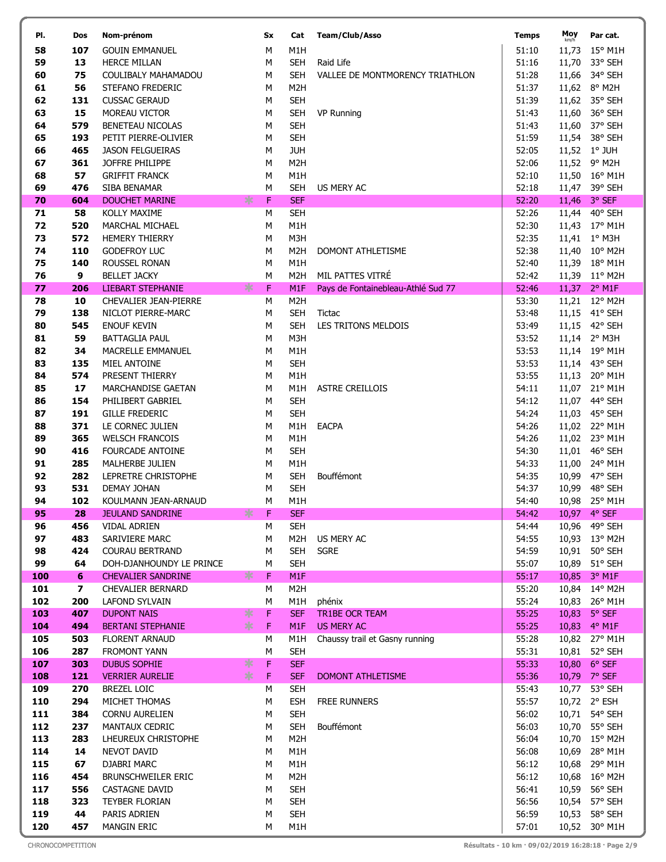| PI.        | Dos                 | Nom-prénom                                      | Sx          | Cat                                  | <b>Team/Club/Asso</b>              | <b>Temps</b>   | Moy<br>km/h  | Par cat.                       |
|------------|---------------------|-------------------------------------------------|-------------|--------------------------------------|------------------------------------|----------------|--------------|--------------------------------|
| 58         | 107                 | <b>GOUIN EMMANUEL</b>                           | M           | M1H                                  |                                    | 51:10          | 11,73        | $15^{\circ}$ M1H               |
| 59         | 13                  | <b>HERCE MILLAN</b>                             | M           | <b>SEH</b>                           | Raid Life                          | 51:16          | 11,70        | 33° SEH                        |
| 60         | 75                  | COULIBALY MAHAMADOU                             | M           | <b>SEH</b>                           | VALLEE DE MONTMORENCY TRIATHLON    | 51:28          |              | 11,66 34° SEH                  |
| 61         | 56                  | STEFANO FREDERIC                                | M           | M <sub>2</sub> H                     |                                    | 51:37          |              | 11,62 8° M2H                   |
| 62         | 131                 | <b>CUSSAC GERAUD</b>                            | М           | <b>SEH</b>                           |                                    | 51:39          |              | 11,62 35° SEH                  |
| 63         | 15                  | MOREAU VICTOR                                   | М           | <b>SEH</b>                           | <b>VP Running</b>                  | 51:43          |              | 11,60 36° SEH                  |
| 64         | 579                 | BENETEAU NICOLAS                                | M           | <b>SEH</b>                           |                                    | 51:43          |              | 11,60 37° SEH                  |
| 65         | 193                 | PETIT PIERRE-OLIVIER                            | M           | <b>SEH</b>                           |                                    | 51:59          |              | 11,54 38° SEH                  |
| 66         | 465                 | <b>JASON FELGUEIRAS</b>                         | М           | <b>JUH</b>                           |                                    | 52:05          |              | 11,52 1° JUH                   |
| 67         | 361                 | JOFFRE PHILIPPE                                 | М           | M <sub>2</sub> H                     |                                    | 52:06          |              | 11,52 9° M2H                   |
| 68         | 57                  | <b>GRIFFIT FRANCK</b>                           | М           | M1H                                  |                                    | 52:10          |              | 11,50 16° M1H                  |
| 69         | 476                 | SIBA BENAMAR                                    | М           | <b>SEH</b>                           | <b>US MERY AC</b>                  | 52:18          |              | 11,47 39° SEH                  |
| 70         | 604                 | <b>DOUCHET MARINE</b>                           | ∗<br>F      | <b>SEF</b>                           |                                    | 52:20          | 11,46        | 3° SEF                         |
| 71         | 58                  | KOLLY MAXIME                                    | M           | <b>SEH</b>                           |                                    | 52:26          |              | 11,44 40° SEH                  |
| 72         | 520                 | MARCHAL MICHAEL                                 | М           | M1H                                  |                                    | 52:30          |              | 11,43 17° M1H                  |
| 73         | 572                 | <b>HEMERY THIERRY</b>                           | M           | M3H                                  |                                    | 52:35          | 11,41        | 1° M3H                         |
| 74         | 110                 | <b>GODEFROY LUC</b>                             | M           | M <sub>2</sub> H                     | <b>DOMONT ATHLETISME</b>           | 52:38          |              | 11,40 10° M2H                  |
| 75         | 140                 | ROUSSEL RONAN                                   | М           | M <sub>1</sub> H                     |                                    | 52:40          |              | 11,39 18° M1H                  |
| 76         | 9                   | <b>BELLET JACKY</b><br><b>LIEBART STEPHANIE</b> | M<br>$\ast$ | M <sub>2</sub> H                     | MIL PATTES VITRÉ                   | 52:42          |              | 11,39 11° M2H                  |
| 77         | 206                 |                                                 | F           | M <sub>1</sub> F                     | Pays de Fontainebleau-Athlé Sud 77 | 52:46          |              | 11,37 2° M1F                   |
| 78<br>79   | 10<br>138           | CHEVALIER JEAN-PIERRE<br>NICLOT PIERRE-MARC     | М<br>M      | M <sub>2</sub> H<br><b>SEH</b>       | Tictac                             | 53:30<br>53:48 |              | 11,21 12° M2H<br>11,15 41° SEH |
| 80         | 545                 | <b>ENOUF KEVIN</b>                              | М           | <b>SEH</b>                           | LES TRITONS MELDOIS                | 53:49          |              | 11,15 42° SEH                  |
| 81         | 59                  | <b>BATTAGLIA PAUL</b>                           | M           | M3H                                  |                                    | 53:52          |              | 11,14 2° M3H                   |
| 82         | 34                  | MACRELLE EMMANUEL                               | M           | M1H                                  |                                    | 53:53          |              | 11,14 19° M1H                  |
| 83         | 135                 | MIEL ANTOINE                                    | M           | <b>SEH</b>                           |                                    | 53:53          |              | 11,14 43° SEH                  |
| 84         | 574                 | PRESENT THIERRY                                 | M           | M1H                                  |                                    | 53:55          |              | 11,13 20° M1H                  |
| 85         | 17                  | <b>MARCHANDISE GAETAN</b>                       | M           | M1H                                  | <b>ASTRE CREILLOIS</b>             | 54:11          |              | 11,07 21° M1H                  |
| 86         | 154                 | PHILIBERT GABRIEL                               | М           | <b>SEH</b>                           |                                    | 54:12          |              | 11,07 44° SEH                  |
| 87         | 191                 | <b>GILLE FREDERIC</b>                           | М           | <b>SEH</b>                           |                                    | 54:24          |              | 11,03 45° SEH                  |
| 88         | 371                 | LE CORNEC JULIEN                                | М           | M1H                                  | <b>EACPA</b>                       | 54:26          |              | 11,02 22° M1H                  |
| 89         | 365                 | <b>WELSCH FRANCOIS</b>                          | M           | M1H                                  |                                    | 54:26          |              | 11,02 23° M1H                  |
| 90         | 416                 | <b>FOURCADE ANTOINE</b>                         | М           | <b>SEH</b>                           |                                    | 54:30          |              | 11,01 46° SEH                  |
| 91         | 285                 | MALHERBE JULIEN                                 | М           | M1H                                  |                                    | 54:33          | 11,00        | 24° M1H                        |
| 92         | 282                 | LEPRETRE CHRISTOPHE                             | М           | <b>SEH</b>                           | Bouffémont                         | 54:35          |              | 10,99 47° SEH                  |
| 93         | 531                 | <b>DEMAY JOHAN</b>                              | M           | <b>SEH</b>                           |                                    | 54:37          |              | 10,99 48° SEH                  |
| 94         | 102                 | KOULMANN JEAN-ARNAUD                            | M           | M1H                                  |                                    | 54:40          |              | 10,98 25° M1H                  |
| 95         | 28                  | <b>JEULAND SANDRINE</b>                         | $* F$       | <b>SEF</b>                           |                                    | 54:42          | 10,97 4° SEF |                                |
| 96         | 456                 | <b>VIDAL ADRIEN</b>                             | М           | <b>SEH</b>                           |                                    | 54:44          |              | 10,96 49° SEH                  |
| 97         | 483                 | SARIVIERE MARC                                  | М           | M <sub>2</sub> H                     | US MERY AC                         | 54:55          |              | 10,93 13° M2H                  |
| 98         | 424                 | <b>COURAU BERTRAND</b>                          | М           | <b>SEH</b>                           | <b>SGRE</b>                        | 54:59          |              | 10,91 50° SEH                  |
| 99         | 64                  | DOH-DJANHOUNDY LE PRINCE                        | M           | <b>SEH</b>                           |                                    | 55:07          |              | 10,89 51° SEH                  |
| 100<br>101 | 6<br>$\overline{ }$ | <b>CHEVALIER SANDRINE</b><br>CHEVALIER BERNARD  | $*$<br>F    | M <sub>1</sub> F<br>M <sub>2</sub> H |                                    | 55:17          |              | 10,85 $3^{\circ}$ M1F          |
| 102        | 200                 | LAFOND SYLVAIN                                  | М<br>М      | M1H                                  | phénix                             | 55:20<br>55:24 |              | 10,84 14° M2H<br>10,83 26° M1H |
| 103        | 407                 | <b>DUPONT NAIS</b>                              | F<br>∗      | <b>SEF</b>                           | TR1BE OCR TEAM                     | 55:25          |              | 10,83 5° SEF                   |
| 104        | 494                 | <b>BERTANI STEPHANIE</b>                        | $*$<br>F    | M <sub>1</sub> F                     | <b>US MERY AC</b>                  | 55:25          |              | 10,83 4° M1F                   |
| 105        | 503                 | <b>FLORENT ARNAUD</b>                           | М           | M1H                                  | Chaussy trail et Gasny running     | 55:28          |              | 10,82 27° M1H                  |
| 106        | 287                 | <b>FROMONT YANN</b>                             | M           | <b>SEH</b>                           |                                    | 55:31          |              | 10,81 52° SEH                  |
| 107        | 303                 | <b>DUBUS SOPHIE</b>                             | $*$<br>F    | <b>SEF</b>                           |                                    | 55:33          |              | 10,80 6° SEF                   |
| 108        | 121                 | <b>VERRIER AURELIE</b>                          | $\ast$<br>F | <b>SEF</b>                           | <b>DOMONT ATHLETISME</b>           | 55:36          |              | 10,79 7° SEF                   |
| 109        | 270                 | BREZEL LOIC                                     | М           | <b>SEH</b>                           |                                    | 55:43          |              | 10,77 53° SEH                  |
| 110        | 294                 | MICHET THOMAS                                   | М           | <b>ESH</b>                           | FREE RUNNERS                       | 55:57          |              | 10,72 2° ESH                   |
| 111        | 384                 | <b>CORNU AURELIEN</b>                           | М           | <b>SEH</b>                           |                                    | 56:02          |              | 10,71 54° SEH                  |
| 112        | 237                 | MANTAUX CEDRIC                                  | М           | <b>SEH</b>                           | Bouffémont                         | 56:03          |              | 10,70 55° SEH                  |
| 113        | 283                 | LHEUREUX CHRISTOPHE                             | М           | M <sub>2</sub> H                     |                                    | 56:04          |              | 10,70 15° M2H                  |
| 114        | 14                  | <b>NEVOT DAVID</b>                              | M           | M1H                                  |                                    | 56:08          |              | 10,69 28° M1H                  |
| 115        | 67                  | DJABRI MARC                                     | М           | M1H                                  |                                    | 56:12          |              | 10,68 29° M1H                  |
| 116        | 454                 | <b>BRUNSCHWEILER ERIC</b>                       | М           | M <sub>2</sub> H                     |                                    | 56:12          |              | 10,68 16° M2H                  |
| 117        | 556                 | <b>CASTAGNE DAVID</b>                           | М           | <b>SEH</b>                           |                                    | 56:41          |              | 10,59 56° SEH                  |
| 118        | 323                 | TEYBER FLORIAN                                  | М           | <b>SEH</b>                           |                                    | 56:56          |              | 10,54 57° SEH                  |
| 119        | 44                  | PARIS ADRIEN                                    | М           | <b>SEH</b>                           |                                    | 56:59          |              | 10,53 58° SEH                  |
| 120        | 457                 | MANGIN ERIC                                     | м           | M1H                                  |                                    | 57:01          |              | 10,52 30° M1H                  |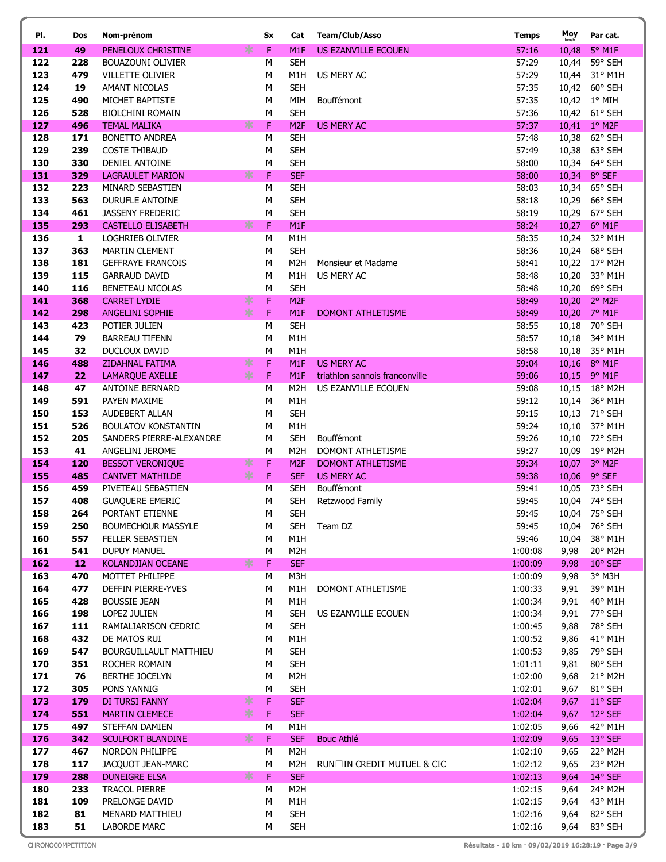| PI.        | Dos          | Nom-prénom                              | Sx          | Cat                           | <b>Team/Club/Asso</b>                 | <b>Temps</b>       | Moy          | Par cat.                         |
|------------|--------------|-----------------------------------------|-------------|-------------------------------|---------------------------------------|--------------------|--------------|----------------------------------|
| 121        | 49           | PENELOUX CHRISTINE                      | ∗<br>F      | M <sub>1</sub> F              | US EZANVILLE ECOUEN                   | 57:16              | 10,48        | $5^\circ$ M1F                    |
| 122        | 228          | <b>BOUAZOUNI OLIVIER</b>                | M           | <b>SEH</b>                    |                                       | 57:29              | 10,44        | 59° SEH                          |
| 123        | 479          | <b>VILLETTE OLIVIER</b>                 | M           | M1H                           | US MERY AC                            | 57:29              |              | 10,44 31° M1H                    |
| 124        | 19           | <b>AMANT NICOLAS</b>                    | M           | <b>SEH</b>                    |                                       | 57:35              |              | 10,42 60° SEH                    |
| 125        | 490          | MICHET BAPTISTE                         | M           | MIH                           | Bouffémont                            | 57:35              |              | 10,42 1° MIH                     |
| 126        | 528          | <b>BIOLCHINI ROMAIN</b>                 | M           | <b>SEH</b>                    |                                       | 57:36              |              | 10,42 61° SEH                    |
| 127        | 496          | <b>TEMAL MALIKA</b>                     | ∗<br>F      | M <sub>2F</sub>               | <b>US MERY AC</b>                     | 57:37              |              | 10,41 1° M2F                     |
| 128        | 171          | <b>BONETTO ANDREA</b>                   | M           | <b>SEH</b>                    |                                       | 57:48              |              | 10,38 62° SEH                    |
| 129        | 239          | <b>COSTE THIBAUD</b>                    | M           | <b>SEH</b>                    |                                       | 57:49              |              | 10,38 63° SEH                    |
| 130        | 330          | <b>DENIEL ANTOINE</b>                   | M           | <b>SEH</b>                    |                                       | 58:00              |              | 10,34 64° SEH                    |
| 131        | 329          | <b>LAGRAULET MARION</b>                 | ∗<br>F      | <b>SEF</b>                    |                                       | 58:00              |              | 10,34 8° SEF                     |
| 132        | 223          | MINARD SEBASTIEN                        | M           | <b>SEH</b>                    |                                       | 58:03              |              | 10,34 65° SEH                    |
| 133        | 563          | <b>DURUFLE ANTOINE</b>                  | M           | <b>SEH</b>                    |                                       | 58:18              |              | 10,29 66° SEH                    |
| 134        | 461          | <b>JASSENY FREDERIC</b>                 | M           | <b>SEH</b>                    |                                       | 58:19              |              | 10,29 67° SEH                    |
| 135        | 293          | <b>CASTELLO ELISABETH</b>               | $\ast$<br>F | M <sub>1</sub> F              |                                       | 58:24              |              | 10,27 6° M1F                     |
| 136        | $\mathbf{1}$ | <b>LOGHRIEB OLIVIER</b>                 | M           | M <sub>1</sub> H              |                                       | 58:35              |              | 10,24 32° M1H                    |
| 137        | 363          | <b>MARTIN CLEMENT</b>                   | M           | <b>SEH</b>                    |                                       | 58:36              |              | 10,24 68° SEH                    |
| 138        | 181          | <b>GEFFRAYE FRANCOIS</b>                | M           | M <sub>2</sub> H              | Monsieur et Madame                    | 58:41              |              | 10,22 17° M2H                    |
| 139        | 115          | <b>GARRAUD DAVID</b>                    | М           | M <sub>1</sub> H              | US MERY AC                            | 58:48              |              | 10,20 33° M1H                    |
| 140<br>141 | 116<br>368   | BENETEAU NICOLAS<br><b>CARRET LYDIE</b> | M<br>F<br>∗ | <b>SEH</b><br>M <sub>2F</sub> |                                       | 58:48<br>58:49     | 10,20        | 10,20 69° SEH<br>$2^{\circ}$ M2F |
| 142        | 298          | <b>ANGELINI SOPHIE</b>                  | $*$<br>F    | M <sub>1</sub> F              | <b>DOMONT ATHLETISME</b>              | 58:49              | 10,20        | $7^\circ$ M1F                    |
| 143        | 423          | POTIER JULIEN                           | M           | <b>SEH</b>                    |                                       | 58:55              | 10,18        | 70° SEH                          |
| 144        | 79           | <b>BARREAU TIFENN</b>                   | M           | M <sub>1</sub> H              |                                       | 58:57              | 10,18        | 34° M1H                          |
| 145        | 32           | <b>DUCLOUX DAVID</b>                    | M           | M <sub>1</sub> H              |                                       | 58:58              |              | 10,18 35° M1H                    |
| 146        | 488          | <b>ZIDAHNAL FATIMA</b>                  | F<br>∗      | M <sub>1</sub> F              | <b>US MERY AC</b>                     | 59:04              |              | 10,16 8° M1F                     |
| 147        | 22           | <b>LAMARQUE AXELLE</b>                  | $\ast$<br>F | M <sub>1</sub> F              | triathlon sannois franconville        | 59:06              |              | 10,15 9° M1F                     |
| 148        | 47           | ANTOINE BERNARD                         | M           | M <sub>2</sub> H              | US EZANVILLE ECOUEN                   | 59:08              |              | 10,15 18° M2H                    |
| 149        | 591          | PAYEN MAXIME                            | M           | M1H                           |                                       | 59:12              |              | 10,14 36° M1H                    |
| 150        | 153          | AUDEBERT ALLAN                          | M           | <b>SEH</b>                    |                                       | 59:15              |              | 10,13 71° SEH                    |
| 151        | 526          | <b>BOULATOV KONSTANTIN</b>              | М           | M <sub>1</sub> H              |                                       | 59:24              |              | 10,10 37° M1H                    |
| 152        | 205          | SANDERS PIERRE-ALEXANDRE                | М           | <b>SEH</b>                    | Bouffémont                            | 59:26              |              | 10,10 72° SEH                    |
| 153        | 41           | ANGELINI JEROME                         | М           | M <sub>2</sub> H              | DOMONT ATHLETISME                     | 59:27              |              | 10,09 19° M2H                    |
| 154        | 120          | <b>BESSOT VERONIQUE</b>                 | F<br>∗      | M <sub>2F</sub>               | <b>DOMONT ATHLETISME</b>              | 59:34              |              | 10,07 3° M2F                     |
| 155        | 485          | <b>CANIVET MATHILDE</b>                 | ∗<br>F      | <b>SEF</b>                    | <b>US MERY AC</b>                     | 59:38              |              | 10,06 9° SEF                     |
| 156        | 459          | PIVETEAU SEBASTIEN                      | M           | <b>SEH</b>                    | Bouffémont                            | 59:41              |              | 10,05 73° SEH                    |
| 157        | 408          | <b>GUAQUERE EMERIC</b>                  | М           | <b>SEH</b>                    | Retzwood Family                       | 59:45              |              | 10,04 74° SEH                    |
| 158        | 264          | PORTANT ETIENNE                         | ${\sf M}$   | <b>SEH</b>                    |                                       | 59:45              |              | 10,04 75° SEH                    |
| 159        | 250          | <b>BOUMECHOUR MASSYLE</b>               | М           | SEH                           | Team DZ                               | 59:45              |              | 10,04 76° SEH                    |
| 160        | 557          | <b>FELLER SEBASTIEN</b>                 | M           | M1H                           |                                       | 59:46              | 10,04        | 38° M1H                          |
| 161        | 541          | DUPUY MANUEL                            | M<br>∗<br>F | M2H                           |                                       | 1:00:08            | 9,98         | 20° M2H                          |
| 162<br>163 | 12<br>470    | KOLANDJIAN OCEANE<br>MOTTET PHILIPPE    | M           | <b>SEF</b>                    |                                       | 1:00:09<br>1:00:09 | 9,98         | $10^{\circ}$ SEF                 |
| 164        | 477          | DEFFIN PIERRE-YVES                      | М           | M3H<br>M1H                    | DOMONT ATHLETISME                     | 1:00:33            | 9,98<br>9,91 | 3° M3H<br>39° M1H                |
| 165        | 428          | <b>BOUSSIE JEAN</b>                     | М           | M1H                           |                                       | 1:00:34            | 9,91         | 40° M1H                          |
| 166        | 198          | LOPEZ JULIEN                            | M           | <b>SEH</b>                    | US EZANVILLE ECOUEN                   | 1:00:34            | 9,91         | 77° SEH                          |
| 167        | 111          | RAMIALIARISON CEDRIC                    | M           | <b>SEH</b>                    |                                       | 1:00:45            | 9,88         | 78° SEH                          |
| 168        | 432          | DE MATOS RUI                            | М           | M1H                           |                                       | 1:00:52            | 9,86         | 41° M1H                          |
| 169        | 547          | <b>BOURGUILLAULT MATTHIEU</b>           | м           | <b>SEH</b>                    |                                       | 1:00:53            | 9,85         | 79° SEH                          |
| 170        | 351          | ROCHER ROMAIN                           | М           | <b>SEH</b>                    |                                       | 1:01:11            | 9,81         | 80° SEH                          |
| 171        | 76           | <b>BERTHE JOCELYN</b>                   | М           | M <sub>2</sub> H              |                                       | 1:02:00            | 9,68         | 21° M2H                          |
| 172        | 305          | PONS YANNIG                             | M           | <b>SEH</b>                    |                                       | 1:02:01            | 9,67         | 81° SEH                          |
| 173        | 179          | DI TURSI FANNY                          | F<br>∗      | <b>SEF</b>                    |                                       | 1:02:04            | 9,67         | $11^{\circ}$ SEF                 |
| 174        | 551          | <b>MARTIN CLEMECE</b>                   | $\ast$<br>F | <b>SEF</b>                    |                                       | 1:02:04            | 9,67         | 12° SEF                          |
| 175        | 497          | STEFFAN DAMIEN                          | М           | M1H                           |                                       | 1:02:05            | 9,66         | 42° M1H                          |
| 176        | 342          | <b>SCULFORT BLANDINE</b>                | ∗<br>F      | <b>SEF</b>                    | Bouc Athlé                            | 1:02:09            | 9,65         | 13° SEF                          |
| 177        | 467          | NORDON PHILIPPE                         | М           | M <sub>2</sub> H              |                                       | 1:02:10            | 9,65         | 22° M2H                          |
| 178        | 117          | JACQUOT JEAN-MARC                       | М           | M2H                           | <b>RUN□IN CREDIT MUTUEL &amp; CIC</b> | 1:02:12            | 9,65         | 23° M2H                          |
| 179        | 288          | <b>DUNEIGRE ELSA</b>                    | ∗<br>F      | <b>SEF</b>                    |                                       | 1:02:13            | 9,64         | 14° SEF                          |
| 180        | 233          | <b>TRACOL PIERRE</b>                    | M           | M <sub>2</sub> H              |                                       | 1:02:15            | 9,64         | 24° M2H                          |
| 181        | 109          | PRELONGE DAVID                          | М           | M1H                           |                                       | 1:02:15            | 9,64         | 43° M1H                          |
| 182        | 81           | MENARD MATTHIEU                         | М           | <b>SEH</b>                    |                                       | 1:02:16            | 9,64         | 82° SEH                          |
| 183        | 51           | LABORDE MARC                            | M           | <b>SEH</b>                    |                                       | 1:02:16            | 9,64         | 83° SEH                          |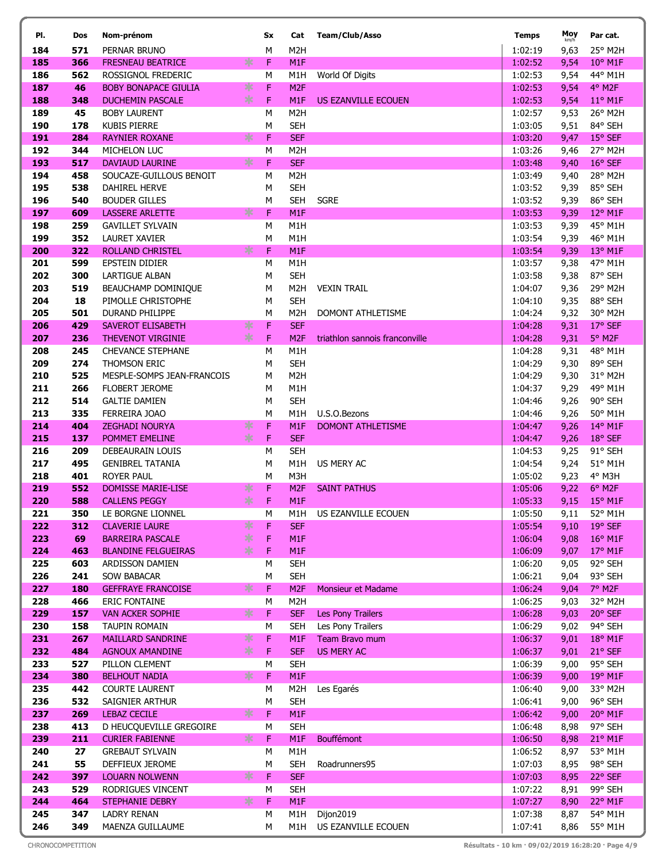| PI.        | Dos        | Nom-prénom                                        |        | Sx        | Cat                            | <b>Team/Club/Asso</b>          | <b>Temps</b>         | Moy<br>km/h  | Par cat.           |
|------------|------------|---------------------------------------------------|--------|-----------|--------------------------------|--------------------------------|----------------------|--------------|--------------------|
| 184        | 571        | PERNAR BRUNO                                      |        | M         | M <sub>2</sub> H               |                                | 1:02:19              | 9,63         | 25° M2H            |
| 185        | 366        | <b>FRESNEAU BEATRICE</b>                          | ∗      | F         | M1F                            |                                | 1:02:52              | 9,54         | $10^{\circ}$ M1F   |
| 186        | 562        | ROSSIGNOL FREDERIC                                |        | M         | M <sub>1</sub> H               | World Of Digits                | 1:02:53              | 9,54         | 44° M1H            |
| 187        | 46         | <b>BOBY BONAPACE GIULIA</b>                       | ∗      | F         | M <sub>2F</sub>                |                                | 1:02:53              | 9,54         | 4° M2F             |
| 188        | 348        | <b>DUCHEMIN PASCALE</b>                           | ∗      | F         | M1F                            | US EZANVILLE ECOUEN            | 1:02:53              | 9,54         | 11° M1F            |
| 189        | 45         | <b>BOBY LAURENT</b>                               |        | М         | M <sub>2</sub> H               |                                | 1:02:57              | 9,53         | 26° M2H            |
| 190        | 178        | <b>KUBIS PIERRE</b>                               |        | M         | <b>SEH</b>                     |                                | 1:03:05              | 9,51         | 84° SEH            |
| 191        | 284        | <b>RAYNIER ROXANE</b>                             | ∗      | F         | <b>SEF</b>                     |                                | 1:03:20              | 9,47         | 15° SEF            |
| 192<br>193 | 344<br>517 | MICHELON LUC<br><b>DAVIAUD LAURINE</b>            | $\ast$ | M<br>F    | M <sub>2</sub> H<br><b>SEF</b> |                                | 1:03:26<br>1:03:48   | 9,46         | 27° M2H<br>16° SEF |
| 194        | 458        | SOUCAZE-GUILLOUS BENOIT                           |        | M         | M <sub>2</sub> H               |                                | 1:03:49              | 9,40<br>9,40 | 28° M2H            |
| 195        | 538        | DAHIREL HERVE                                     |        | М         | <b>SEH</b>                     |                                | 1:03:52              | 9,39         | 85° SEH            |
| 196        | 540        | <b>BOUDER GILLES</b>                              |        | M         | <b>SEH</b>                     | <b>SGRE</b>                    | 1:03:52              | 9,39         | 86° SEH            |
| 197        | 609        | <b>LASSERE ARLETTE</b>                            | ∗      | F         | M1F                            |                                | 1:03:53              | 9,39         | 12° M1F            |
| 198        | 259        | <b>GAVILLET SYLVAIN</b>                           |        | M         | M1H                            |                                | 1:03:53              | 9,39         | 45° M1H            |
| 199        | 352        | <b>LAURET XAVIER</b>                              |        | M         | M1H                            |                                | 1:03:54              | 9,39         | 46° M1H            |
| 200        | 322        | <b>ROLLAND CHRISTEL</b>                           | ∗      | F         | M1F                            |                                | 1:03:54              | 9,39         | 13° M1F            |
| 201        | 599        | <b>EPSTEIN DIDIER</b>                             |        | М         | M1H                            |                                | 1:03:57              | 9,38         | 47° M1H            |
| 202        | 300        | <b>LARTIGUE ALBAN</b>                             |        | М         | <b>SEH</b>                     |                                | 1:03:58              | 9,38         | 87° SEH            |
| 203        | 519        | BEAUCHAMP DOMINIQUE                               |        | M         | M <sub>2</sub> H               | <b>VEXIN TRAIL</b>             | 1:04:07              | 9,36         | 29° M2H            |
| 204        | 18         | PIMOLLE CHRISTOPHE                                |        | M         | <b>SEH</b>                     |                                | 1:04:10              | 9,35         | 88° SEH            |
| 205        | 501        | <b>DURAND PHILIPPE</b>                            |        | M         | M <sub>2</sub> H               | DOMONT ATHLETISME              | 1:04:24              | 9,32         | 30° M2H            |
| 206        | 429        | <b>SAVEROT ELISABETH</b>                          | ∗      | F         | <b>SEF</b>                     |                                | 1:04:28              | 9,31         | 17° SEF            |
| 207        | 236        | <b>THEVENOT VIRGINIE</b>                          | $*$    | F         | M <sub>2F</sub>                | triathlon sannois franconville | 1:04:28              | 9,31         | 5° M2F             |
| 208        | 245        | <b>CHEVANCE STEPHANE</b>                          |        | M         | M1H                            |                                | 1:04:28              | 9,31         | 48° M1H            |
| 209<br>210 | 274<br>525 | THOMSON ERIC<br>MESPLE-SOMPS JEAN-FRANCOIS        |        | М<br>M    | <b>SEH</b><br>M <sub>2</sub> H |                                | 1:04:29<br>1:04:29   | 9,30         | 89° SEH<br>31° M2H |
| 211        | 266        | <b>FLOBERT JEROME</b>                             |        | M         | M <sub>1</sub> H               |                                | 1:04:37              | 9,30<br>9,29 | 49° M1H            |
| 212        | 514        | <b>GALTIE DAMIEN</b>                              |        | М         | <b>SEH</b>                     |                                | 1:04:46              | 9,26         | 90° SEH            |
| 213        | 335        | FERREIRA JOAO                                     |        | М         | M1H                            | U.S.O.Bezons                   | 1:04:46              | 9,26         | 50° M1H            |
| 214        | 404        | <b>ZEGHADI NOURYA</b>                             | ∗      | F         | M1F                            | <b>DOMONT ATHLETISME</b>       | 1:04:47              | 9,26         | 14° M1F            |
| 215        | 137        | POMMET EMELINE                                    | $\ast$ | F         | <b>SEF</b>                     |                                | 1:04:47              | 9,26         | 18° SEF            |
| 216        | 209        | DEBEAURAIN LOUIS                                  |        | M         | <b>SEH</b>                     |                                | 1:04:53              | 9,25         | 91° SEH            |
| 217        | 495        | <b>GENIBREL TATANIA</b>                           |        | М         | M <sub>1</sub> H               | US MERY AC                     | 1:04:54              | 9,24         | 51° M1H            |
| 218        | 401        | <b>ROYER PAUL</b>                                 |        | М         | M3H                            |                                | 1:05:02              | 9,23         | 4° M3H             |
| 219        | 552        | <b>DOMISSE MARIE-LISE</b>                         | ∗      | F         | M <sub>2F</sub>                | <b>SAINT PATHUS</b>            | 1:05:06              | 9,22         | 6° M2F             |
| 220        | 588        | <b>CALLENS PEGGY</b>                              | $\ast$ | F         | M1F                            |                                | 1:05:33              | 9,15         | $15^{\circ}$ M1F   |
| 221        | 350        | LE BORGNE LIONNEL                                 |        | ${\sf M}$ |                                | M1H US EZANVILLE ECOUEN        | 1:05:50 9,11 52° M1H |              |                    |
| 222        | 312        | <b>CLAVERIE LAURE</b>                             | ∗      | F         | <b>SEF</b>                     |                                | 1:05:54              | 9,10         | 19° SEF            |
| 223        | 69         | <b>BARREIRA PASCALE</b>                           | ∗<br>∗ | F         | M1F                            |                                | 1:06:04              | 9,08         | 16° M1F            |
| 224<br>225 | 463<br>603 | <b>BLANDINE FELGUEIRAS</b><br>ARDISSON DAMIEN     |        | F<br>М    | M1F<br><b>SEH</b>              |                                | 1:06:09<br>1:06:20   | 9,07<br>9,05 | 17° M1F<br>92° SEH |
| 226        | 241        | <b>SOW BABACAR</b>                                |        | М         | <b>SEH</b>                     |                                | 1:06:21              | 9,04         | 93° SEH            |
| 227        | 180        | <b>GEFFRAYE FRANCOISE</b>                         | ∗      | F         | M <sub>2F</sub>                | Monsieur et Madame             | 1:06:24              | 9,04         | 7° M2F             |
| 228        | 466        | <b>ERIC FONTAINE</b>                              |        | М         | M <sub>2</sub> H               |                                | 1:06:25              | 9,03         | 32° M2H            |
| 229        | 157        | <b>VAN ACKER SOPHIE</b>                           | $\ast$ | F         | <b>SEF</b>                     | Les Pony Trailers              | 1:06:28              | 9,03         | 20° SEF            |
| 230        | 158        | <b>TAUPIN ROMAIN</b>                              |        | М         | <b>SEH</b>                     | Les Pony Trailers              | 1:06:29              | 9,02         | 94° SEH            |
| 231        | 267        | <b>MAILLARD SANDRINE</b>                          | $\ast$ | F         | M1F                            | Team Bravo mum                 | 1:06:37              | 9,01         | 18° M1F            |
| 232        | 484        | <b>AGNOUX AMANDINE</b>                            | $\ast$ | F         | <b>SEF</b>                     | <b>US MERY AC</b>              | 1:06:37              | 9,01         | 21° SEF            |
| 233        | 527        | PILLON CLEMENT                                    |        | М         | <b>SEH</b>                     |                                | 1:06:39              | 9,00         | 95° SEH            |
| 234        | 380        | <b>BELHOUT NADIA</b>                              | ∗      | F         | M1F                            |                                | 1:06:39              | 9,00         | 19° M1F            |
| 235        | 442        | <b>COURTE LAURENT</b>                             |        | М         | M <sub>2</sub> H               | Les Egarés                     | 1:06:40              | 9,00         | 33° M2H            |
| 236        | 532        | SAIGNIER ARTHUR                                   |        | М         | <b>SEH</b>                     |                                | 1:06:41              | 9,00         | 96° SEH            |
| 237        | 269        | <b>LEBAZ CECILE</b>                               | ∗      | F         | M1F                            |                                | 1:06:42              | 9,00         | 20° M1F            |
| 238        | 413        | D HEUCQUEVILLE GREGOIRE<br><b>CURIER FABIENNE</b> | *      | М<br>F    | <b>SEH</b><br>M1F              | Bouffémont                     | 1:06:48<br>1:06:50   | 8,98         | 97° SEH            |
| 239<br>240 | 211<br>27  | <b>GREBAUT SYLVAIN</b>                            |        | М         | M1H                            |                                | 1:06:52              | 8,98<br>8,97 | 21° M1F<br>53° M1H |
| 241        | 55         | DEFFIEUX JEROME                                   |        | М         | <b>SEH</b>                     | Roadrunners95                  | 1:07:03              | 8,95         | 98° SEH            |
| 242        | 397        | <b>LOUARN NOLWENN</b>                             | ∗      | F         | <b>SEF</b>                     |                                | 1:07:03              | 8,95         | 22° SEF            |
| 243        | 529        | RODRIGUES VINCENT                                 |        | M         | <b>SEH</b>                     |                                | 1:07:22              | 8,91         | 99° SEH            |
| 244        | 464        | <b>STEPHANIE DEBRY</b>                            | ∗      | F         | M1F                            |                                | 1:07:27              | 8,90         | 22° M1F            |
| 245        | 347        | <b>LADRY RENAN</b>                                |        | М         | M1H                            | Dijon2019                      | 1:07:38              | 8,87         | 54° M1H            |
| 246        | 349        | MAENZA GUILLAUME                                  |        | M         |                                | M1H US EZANVILLE ECOUEN        | 1:07:41              | 8,86         | 55° M1H            |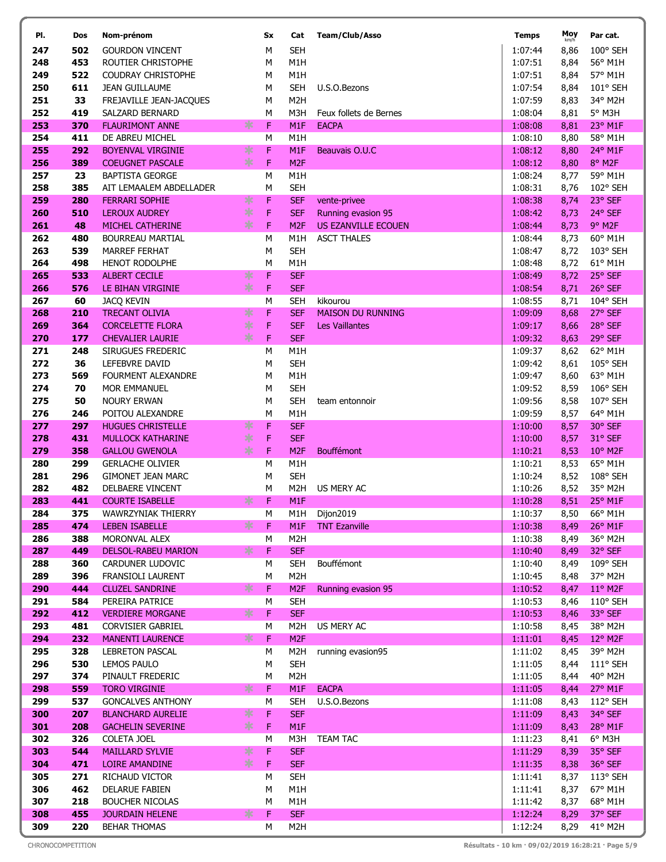| PI.        | Dos        | Nom-prénom                                    |        | Sx        | Cat                                 | <b>Team/Club/Asso</b>                            | <b>Temps</b>       | Moy<br>km/h  | Par cat.                    |
|------------|------------|-----------------------------------------------|--------|-----------|-------------------------------------|--------------------------------------------------|--------------------|--------------|-----------------------------|
| 247        | 502        | <b>GOURDON VINCENT</b>                        |        | M         | <b>SEH</b>                          |                                                  | 1:07:44            | 8,86         | 100° SEH                    |
| 248        | 453        | ROUTIER CHRISTOPHE                            |        | M         | M <sub>1</sub> H                    |                                                  | 1:07:51            | 8,84         | 56° M1H                     |
| 249        | 522        | <b>COUDRAY CHRISTOPHE</b>                     |        | M         | M <sub>1</sub> H                    |                                                  | 1:07:51            | 8,84         | 57° M1H                     |
| 250        | 611        | <b>JEAN GUILLAUME</b>                         |        | M         | <b>SEH</b>                          | U.S.O.Bezons                                     | 1:07:54            | 8,84         | 101° SEH                    |
| 251        | 33         | FREJAVILLE JEAN-JACQUES                       |        | М         | M <sub>2</sub> H                    |                                                  | 1:07:59            | 8,83         | 34° M2H                     |
| 252        | 419        | SALZARD BERNARD                               |        | М         | M3H                                 | Feux follets de Bernes                           | 1:08:04            | 8,81         | 5° M3H                      |
| 253        | 370        | <b>FLAURIMONT ANNE</b>                        | ∗      | F         | M <sub>1</sub> F                    | <b>EACPA</b>                                     | 1:08:08            | 8,81         | 23° M1F                     |
| 254        | 411        | DE ABREU MICHEL                               |        | M         | M <sub>1</sub> H                    |                                                  | 1:08:10            | 8,80         | 58° M1H                     |
| 255        | 292        | <b>BOYENVAL VIRGINIE</b>                      | ∗      | F         | M1F                                 | Beauvais O.U.C                                   | 1:08:12            | 8,80         | 24° M1F                     |
| 256        | 389        | <b>COEUGNET PASCALE</b>                       | $\ast$ | F         | M <sub>2F</sub>                     |                                                  | 1:08:12            | 8,80         | 8° M2F                      |
| 257        | 23         | <b>BAPTISTA GEORGE</b>                        |        | M         | M <sub>1</sub> H                    |                                                  | 1:08:24            | 8,77         | 59° M1H                     |
| 258        | 385        | AIT LEMAALEM ABDELLADER                       |        | М         | <b>SEH</b>                          |                                                  | 1:08:31            | 8,76         | 102° SEH                    |
| 259<br>260 | 280<br>510 | <b>FERRARI SOPHIE</b><br><b>LEROUX AUDREY</b> | ∗<br>∗ | F<br>F    | <b>SEF</b><br><b>SEF</b>            | vente-privee                                     | 1:08:38<br>1:08:42 | 8,74         | 23° SEF<br>24° SEF          |
| 261        | 48         | MICHEL CATHERINE                              | ∗      | F         | M <sub>2F</sub>                     | Running evasion 95<br><b>US EZANVILLE ECOUEN</b> | 1:08:44            | 8,73<br>8,73 | 9° M2F                      |
| 262        | 480        | <b>BOURREAU MARTIAL</b>                       |        | М         | M <sub>1</sub> H                    | <b>ASCT THALES</b>                               | 1:08:44            | 8,73         | 60° M1H                     |
| 263        | 539        | <b>MARREF FERHAT</b>                          |        | M         | <b>SEH</b>                          |                                                  | 1:08:47            | 8,72         | 103° SEH                    |
| 264        | 498        | <b>HENOT RODOLPHE</b>                         |        | M         | M <sub>1</sub> H                    |                                                  | 1:08:48            | 8,72         | 61° M1H                     |
| 265        | 533        | <b>ALBERT CECILE</b>                          | ∗      | F         | <b>SEF</b>                          |                                                  | 1:08:49            | 8,72         | 25° SEF                     |
| 266        | 576        | LE BIHAN VIRGINIE                             | $\ast$ | F         | <b>SEF</b>                          |                                                  | 1:08:54            | 8,71         | 26° SEF                     |
| 267        | 60         | <b>JACQ KEVIN</b>                             |        | M         | <b>SEH</b>                          | kikourou                                         | 1:08:55            | 8,71         | 104° SEH                    |
| 268        | 210        | <b>TRECANT OLIVIA</b>                         | ∗      | F         | <b>SEF</b>                          | <b>MAISON DU RUNNING</b>                         | 1:09:09            | 8,68         | 27° SEF                     |
| 269        | 364        | <b>CORCELETTE FLORA</b>                       | $\ast$ | F         | <b>SEF</b>                          | <b>Les Vaillantes</b>                            | 1:09:17            | 8,66         | 28° SEF                     |
| 270        | 177        | <b>CHEVALIER LAURIE</b>                       | $\ast$ | F         | <b>SEF</b>                          |                                                  | 1:09:32            | 8,63         | 29° SEF                     |
| 271        | 248        | SIRUGUES FREDERIC                             |        | М         | M <sub>1</sub> H                    |                                                  | 1:09:37            | 8,62         | 62° M1H                     |
| 272        | 36         | LEFEBVRE DAVID                                |        | М         | <b>SEH</b>                          |                                                  | 1:09:42            | 8,61         | 105° SEH                    |
| 273        | 569        | FOURMENT ALEXANDRE                            |        | М         | M <sub>1</sub> H                    |                                                  | 1:09:47            | 8,60         | 63° M1H                     |
| 274        | 70         | <b>MOR EMMANUEL</b>                           |        | М         | <b>SEH</b>                          |                                                  | 1:09:52            | 8,59         | 106° SEH                    |
| 275        | 50         | <b>NOURY ERWAN</b>                            |        | М         | <b>SEH</b>                          | team entonnoir                                   | 1:09:56            | 8,58         | 107° SEH                    |
| 276        | 246        | POITOU ALEXANDRE                              |        | М         | M <sub>1</sub> H                    |                                                  | 1:09:59            | 8,57         | 64° M1H                     |
| 277        | 297        | <b>HUGUES CHRISTELLE</b>                      | ∗<br>∗ | F         | <b>SEF</b>                          |                                                  | 1:10:00            | 8,57         | 30° SEF                     |
| 278<br>279 | 431<br>358 | MULLOCK KATHARINE<br><b>GALLOU GWENOLA</b>    | $\ast$ | F<br>F    | <b>SEF</b><br>M <sub>2F</sub>       | Bouffémont                                       | 1:10:00<br>1:10:21 | 8,57<br>8,53 | 31° SEF<br>$10^{\circ}$ M2F |
| 280        | 299        | <b>GERLACHE OLIVIER</b>                       |        | M         | M1H                                 |                                                  | 1:10:21            | 8,53         | 65° M1H                     |
| 281        | 296        | <b>GIMONET JEAN MARC</b>                      |        | М         | <b>SEH</b>                          |                                                  | 1:10:24            | 8,52         | 108° SEH                    |
| 282        | 482        | DELBAERE VINCENT                              |        | М         | M <sub>2</sub> H                    | US MERY AC                                       | 1:10:26            | 8,52         | 35° M2H                     |
| 283        | 441        | <b>COURTE ISABELLE</b>                        | ∗      | F         | M <sub>1</sub> F                    |                                                  | 1:10:28            | 8,51         | 25° M1F                     |
| 284        | 375        | WAWRZYNIAK THIERRY                            |        | ${\sf M}$ |                                     | M1H Dijon2019                                    | 1:10:37            |              | 8,50 66° M1H                |
| 285        | 474        | <b>LEBEN ISABELLE</b>                         | ∗      | F         | M1F                                 | <b>TNT Ezanville</b>                             | 1:10:38            | 8,49         | 26° M1F                     |
| 286        | 388        | MORONVAL ALEX                                 |        | м         | M <sub>2</sub> H                    |                                                  | 1:10:38            | 8,49         | 36° M2H                     |
| 287        | 449        | <b>DELSOL-RABEU MARION</b>                    | ⋇      | F         | <b>SEF</b>                          |                                                  | 1:10:40            | 8,49         | 32° SEF                     |
| 288        | 360        | CARDUNER LUDOVIC                              |        | м         | <b>SEH</b>                          | Bouffémont                                       | 1:10:40            | 8,49         | 109° SEH                    |
| 289        | 396        | FRANSIOLI LAURENT                             |        | М         | M <sub>2</sub> H                    |                                                  | 1:10:45            | 8,48         | 37° M2H                     |
| 290        | 444        | <b>CLUZEL SANDRINE</b>                        | ∗      | F         | M <sub>2F</sub>                     | Running evasion 95                               | 1:10:52            | 8,47         | $11^{\circ}$ M2F            |
| 291        | 584        | PEREIRA PATRICE                               |        | м         | <b>SEH</b>                          |                                                  | 1:10:53            | 8,46         | 110° SEH                    |
| 292        | 412        | <b>VERDIERE MORGANE</b>                       | *      | F         | <b>SEF</b>                          |                                                  | 1:10:53            | 8,46         | 33° SEF                     |
| 293<br>294 | 481<br>232 | CORVISIER GABRIEL<br><b>MANENTI LAURENCE</b>  | ∗      | М<br>F    | M <sub>2</sub> H<br>M <sub>2F</sub> | US MERY AC                                       | 1:10:58<br>1:11:01 | 8,45<br>8,45 | 38° M2H<br>12° M2F          |
| 295        | 328        | <b>LEBRETON PASCAL</b>                        |        | М         | M <sub>2</sub> H                    | running evasion95                                | 1:11:02            | 8,45         | 39° M2H                     |
| 296        | 530        | LEMOS PAULO                                   |        | М         | <b>SEH</b>                          |                                                  | 1:11:05            | 8,44         | $111^{\circ}$ SEH           |
| 297        | 374        | PINAULT FREDERIC                              |        | М         | M <sub>2</sub> H                    |                                                  | 1:11:05            | 8,44         | 40° M2H                     |
| 298        | 559        | <b>TORO VIRGINIE</b>                          | ∗      | F         | M1F                                 | <b>EACPA</b>                                     | 1:11:05            | 8,44         | 27° M1F                     |
| 299        | 537        | <b>GONCALVES ANTHONY</b>                      |        | м         | <b>SEH</b>                          | U.S.O.Bezons                                     | 1:11:08            | 8,43         | 112° SEH                    |
| 300        | 207        | <b>BLANCHARD AURELIE</b>                      | ∗      | F         | <b>SEF</b>                          |                                                  | 1:11:09            | 8,43         | 34° SEF                     |
| 301        | 208        | <b>GACHELIN SEVERINE</b>                      | *      | F         | M <sub>1</sub> F                    |                                                  | 1:11:09            | 8,43         | 28° M1F                     |
| 302        | 326        | COLETA JOEL                                   |        | м         | M3H                                 | <b>TEAM TAC</b>                                  | 1:11:23            | 8,41         | $6^{\circ}$ M3H             |
| 303        | 544        | <b>MAILLARD SYLVIE</b>                        | ∗      | F         | <b>SEF</b>                          |                                                  | 1:11:29            | 8,39         | 35° SEF                     |
| 304        | 471        | LOIRE AMANDINE                                | $\ast$ | F         | <b>SEF</b>                          |                                                  | 1:11:35            | 8,38         | 36° SEF                     |
| 305        | 271        | RICHAUD VICTOR                                |        | М         | <b>SEH</b>                          |                                                  | 1:11:41            | 8,37         | 113° SEH                    |
| 306        | 462        | DELARUE FABIEN                                |        | М         | M1H                                 |                                                  | 1:11:41            | 8,37         | 67° M1H                     |
| 307        | 218        | <b>BOUCHER NICOLAS</b>                        |        | М         | M1H                                 |                                                  | 1:11:42            | 8,37         | 68° M1H                     |
| 308        | 455        | <b>JOURDAIN HELENE</b>                        | ∗      | F         | <b>SEF</b>                          |                                                  | 1:12:24            | 8,29         | 37° SEF                     |
| 309        | 220        | <b>BEHAR THOMAS</b>                           |        | M         | M <sub>2</sub> H                    |                                                  | 1:12:24            | 8,29         | 41° M2H                     |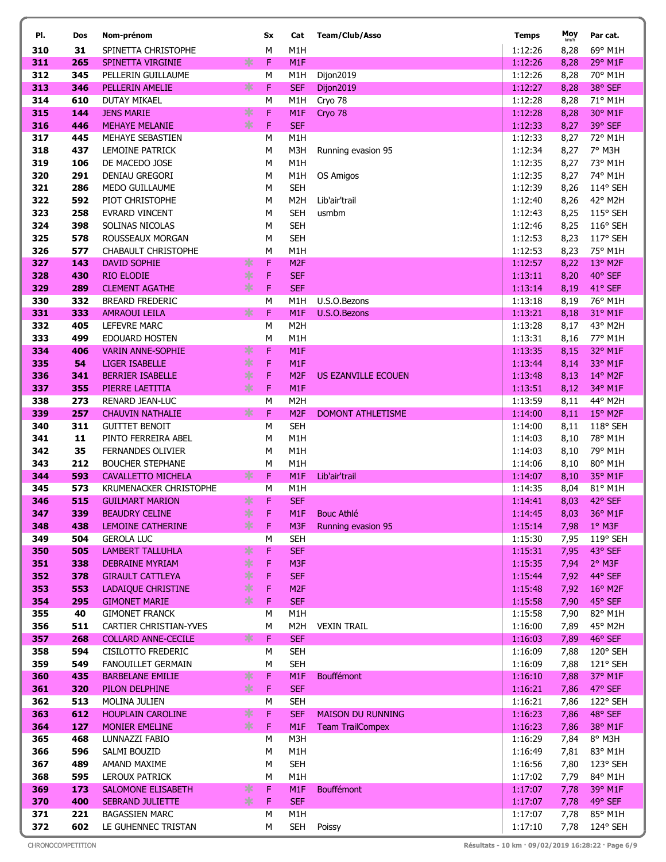| PI.        | Dos        | Nom-prénom                                       |             | Sx     | Cat                                 | <b>Team/Club/Asso</b>    | <b>Temps</b>       | Moy<br>km/h  | Par cat.            |
|------------|------------|--------------------------------------------------|-------------|--------|-------------------------------------|--------------------------|--------------------|--------------|---------------------|
| 310        | 31         | SPINETTA CHRISTOPHE                              |             | M      | M <sub>1</sub> H                    |                          | 1:12:26            | 8,28         | 69° M1H             |
| 311        | 265        | SPINETTA VIRGINIE                                | ∗           | F      | M1F                                 |                          | 1:12:26            | 8,28         | 29° M1F             |
| 312        | 345        | PELLERIN GUILLAUME                               |             | M      | M <sub>1</sub> H                    | Dijon2019                | 1:12:26            | 8,28         | 70° M1H             |
| 313        | 346        | PELLERIN AMELIE                                  | ∗           | F      | <b>SEF</b>                          | Dijon2019                | 1:12:27            | 8,28         | 38° SEF             |
| 314        | 610        | <b>DUTAY MIKAEL</b>                              |             | M      | M <sub>1</sub> H                    | Cryo 78                  | 1:12:28            | 8,28         | 71° M1H             |
| 315        | 144        | <b>JENS MARIE</b>                                | ∗           | F      | M1F                                 | Cryo 78                  | 1:12:28            | 8,28         | 30° M1F             |
| 316        | 446        | <b>MEHAYE MELANIE</b>                            | $\ast$      | F      | <b>SEF</b>                          |                          | 1:12:33            | 8,27         | 39° SEF             |
| 317        | 445        | MEHAYE SEBASTIEN                                 |             | M      | M1H                                 |                          | 1:12:33            | 8,27         | 72° M1H             |
| 318        | 437        | <b>LEMOINE PATRICK</b>                           |             | М      | M3H                                 | Running evasion 95       | 1:12:34            | 8,27         | 7° M3H              |
| 319        | 106        | DE MACEDO JOSE                                   |             | M      | M <sub>1</sub> H                    |                          | 1:12:35            | 8,27         | 73° M1H             |
| 320        | 291        | <b>DENIAU GREGORI</b>                            |             | M      | M <sub>1</sub> H                    | OS Amigos                | 1:12:35            | 8,27         | 74° M1H             |
| 321        | 286        | MEDO GUILLAUME                                   |             | М      | <b>SEH</b>                          |                          | 1:12:39            | 8,26         | 114° SEH            |
| 322        | 592        | PIOT CHRISTOPHE                                  |             | М      | M <sub>2</sub> H                    | Lib'air'trail            | 1:12:40            | 8,26         | 42° M2H             |
| 323        | 258        | <b>EVRARD VINCENT</b>                            |             | M      | <b>SEH</b>                          | usmbm                    | 1:12:43            | 8,25         | 115° SEH            |
| 324        | 398        | SOLINAS NICOLAS                                  |             | M      | <b>SEH</b>                          |                          | 1:12:46            | 8,25         | 116° SEH            |
| 325        | 578        | ROUSSEAUX MORGAN                                 |             | M      | <b>SEH</b>                          |                          | 1:12:53            | 8,23         | 117° SEH            |
| 326        | 577        | <b>CHABAULT CHRISTOPHE</b>                       |             | M      | M <sub>1</sub> H                    |                          | 1:12:53            | 8,23         | 75° M1H             |
| 327        | 143        | <b>DAVID SOPHIE</b>                              | ∗           | F      | M <sub>2F</sub>                     |                          | 1:12:57            | 8,22         | 13° M2F             |
| 328        | 430        | <b>RIO ELODIE</b>                                | ∗           | F      | <b>SEF</b>                          |                          | 1:13:11            | 8,20         | 40° SEF             |
| 329        | 289        | <b>CLEMENT AGATHE</b>                            | $\ast$      | F      | <b>SEF</b>                          |                          | 1:13:14            | 8,19         | 41° SEF             |
| 330        | 332        | <b>BREARD FREDERIC</b>                           |             | M      | M <sub>1</sub> H                    | U.S.O.Bezons             | 1:13:18            | 8,19         | 76° M1H             |
| 331        | 333        | <b>AMRAOUI LEILA</b>                             | ∗           | F      | M <sub>1</sub> F                    | U.S.O.Bezons             | 1:13:21            | 8,18         | 31° M1F             |
| 332        | 405        | <b>LEFEVRE MARC</b>                              |             | M      | M <sub>2</sub> H                    |                          | 1:13:28            | 8,17         | 43° M2H             |
| 333        | 499        | <b>EDOUARD HOSTEN</b>                            |             | М      | M <sub>1</sub> H                    |                          | 1:13:31            | 8,16         | 77° M1H             |
| 334        | 406<br>54  | <b>VARIN ANNE-SOPHIE</b>                         | ∗<br>$\ast$ | F<br>F | M1F                                 |                          | 1:13:35            | 8,15         | 32° M1F             |
| 335<br>336 | 341        | <b>LIGER ISABELLE</b><br><b>BERRIER ISABELLE</b> | ∗           | F      | M <sub>1</sub> F<br>M <sub>2F</sub> |                          | 1:13:44<br>1:13:48 | 8,14         | 33° M1F<br>14° M2F  |
| 337        | 355        | PIERRE LAETITIA                                  | ∗           | F      | M <sub>1</sub> F                    | US EZANVILLE ECOUEN      | 1:13:51            | 8,13         | 34° M1F             |
| 338        | 273        | RENARD JEAN-LUC                                  |             | M      | M <sub>2</sub> H                    |                          | 1:13:59            | 8,12<br>8,11 | 44° M2H             |
| 339        | 257        | <b>CHAUVIN NATHALIE</b>                          | ∗           | F      | M <sub>2F</sub>                     | <b>DOMONT ATHLETISME</b> | 1:14:00            | 8,11         | 15° M2F             |
| 340        | 311        | <b>GUITTET BENOIT</b>                            |             | M      | <b>SEH</b>                          |                          | 1:14:00            | 8,11         | 118° SEH            |
| 341        | 11         | PINTO FERREIRA ABEL                              |             | M      | M1H                                 |                          | 1:14:03            | 8,10         | 78° M1H             |
| 342        | 35         | FERNANDES OLIVIER                                |             | М      | M <sub>1</sub> H                    |                          | 1:14:03            | 8,10         | 79° M1H             |
| 343        | 212        | <b>BOUCHER STEPHANE</b>                          |             | М      | M <sub>1</sub> H                    |                          | 1:14:06            | 8,10         | 80° M1H             |
| 344        | 593        | <b>CAVALLETTO MICHELA</b>                        | ж           | F      | M <sub>1</sub> F                    | Lib'air'trail            | 1:14:07            | 8,10         | 35° M1F             |
| 345        | 573        | KRUMENACKER CHRISTOPHE                           |             | M      | M1H                                 |                          | 1:14:35            | 8,04         | 81° M1H             |
| 346        | 515        | <b>GUILMART MARION</b>                           | ∗           | F      | <b>SEF</b>                          |                          | 1:14:41            | 8,03         | 42° SEF             |
| 347        | 339        | <b>BEAUDRY CELINE</b>                            | $*$         | F      |                                     | M1F Bouc Athlé           | 1:14:45            |              | 8,03 36° M1F        |
| 348        | 438        | LEMOINE CATHERINE                                | ∗           | F      | M3F                                 | Running evasion 95       | 1:15:14            | 7,98         | $1°$ M3F            |
| 349        | 504        | <b>GEROLA LUC</b>                                |             | м      | <b>SEH</b>                          |                          | 1:15:30            | 7,95         | 119° SEH            |
| 350        | 505        | <b>LAMBERT TALLUHLA</b>                          | ∗           | F      | <b>SEF</b>                          |                          | 1:15:31            | 7,95         | 43° SEF             |
| 351        | 338        | <b>DEBRAINE MYRIAM</b>                           | $\ast$      | F      | M <sub>3F</sub>                     |                          | 1:15:35            | 7,94         | 2° M3F              |
| 352        | 378        | <b>GIRAULT CATTLEYA</b>                          | $\ast$      | F      | <b>SEF</b>                          |                          | 1:15:44            | 7,92         | 44° SEF             |
| 353        | 553        | LADAIQUE CHRISTINE                               | ∗           | F      | M <sub>2F</sub>                     |                          | 1:15:48            | 7,92         | $16^{\circ}$ M2F    |
| 354        | 295        | <b>GIMONET MARIE</b>                             | $\ast$      | F      | <b>SEF</b>                          |                          | 1:15:58            | 7,90         | 45° SEF             |
| 355        | 40         | <b>GIMONET FRANCK</b>                            |             | М      | M1H                                 |                          | 1:15:58            | 7,90         | 82° M1H             |
| 356        | 511        | CARTIER CHRISTIAN-YVES                           |             | М      | M <sub>2</sub> H                    | <b>VEXIN TRAIL</b>       | 1:16:00            | 7,89         | 45° M2H             |
| 357        | 268        | <b>COLLARD ANNE-CECILE</b>                       | ∗           | F      | <b>SEF</b>                          |                          | 1:16:03            | 7,89         | 46° SEF             |
| 358        | 594        | CISILOTTO FREDERIC                               |             | М      | <b>SEH</b>                          |                          | 1:16:09            | 7,88         | 120° SEH            |
| 359        | 549        | <b>FANOUILLET GERMAIN</b>                        |             | M      | <b>SEH</b>                          |                          | 1:16:09            | 7,88         | 121° SEH            |
| 360        | 435        | <b>BARBELANE EMILIE</b>                          | ∗           | F      | M <sub>1</sub> F                    | <b>Bouffémont</b>        | 1:16:10            | 7,88         | 37° M1F             |
| 361        | 320        | PILON DELPHINE                                   | ∗           | F      | <b>SEF</b>                          |                          | 1:16:21            | 7,86         | 47° SEF             |
| 362        | 513        | MOLINA JULIEN                                    |             | м      | <b>SEH</b>                          |                          | 1:16:21            | 7,86         | 122° SEH            |
| 363        | 612        | <b>HOUPLAIN CAROLINE</b>                         | ∗<br>$\ast$ | F      | <b>SEF</b>                          | <b>MAISON DU RUNNING</b> | 1:16:23            | 7,86         | 48° SEF             |
| 364        | 127        | <b>MONIER EMELINE</b>                            |             | F      | M <sub>1</sub> F                    | <b>Team TrailCompex</b>  | 1:16:23            | 7,86         | 38° M1F             |
| 365<br>366 | 468        | LUNNAZZI FABIO<br>SALMI BOUZID                   |             | М      | M3H<br>M1H                          |                          | 1:16:29<br>1:16:49 | 7,84         | 8° M3H              |
| 367        | 596<br>489 | AMAND MAXIME                                     |             | М<br>М | <b>SEH</b>                          |                          | 1:16:56            | 7,81<br>7,80 | 83° M1H<br>123° SEH |
| 368        | 595        | LEROUX PATRICK                                   |             | M      | M1H                                 |                          | 1:17:02            | 7,79         | 84° M1H             |
| 369        | 173        | SALOMONE ELISABETH                               | ∗           | F      | M1F                                 | <b>Bouffémont</b>        | 1:17:07            | 7,78         | 39° M1F             |
| 370        | 400        | <b>SEBRAND JULIETTE</b>                          | $\ast$      | F      | <b>SEF</b>                          |                          | 1:17:07            | 7,78         | 49° SEF             |
| 371        | 221        | <b>BAGASSIEN MARC</b>                            |             | М      | M1H                                 |                          | 1:17:07            | 7,78         | 85° M1H             |
| 372        | 602        | LE GUHENNEC TRISTAN                              |             | M      | SEH                                 | Poissy                   | 1:17:10            | 7,78         | 124° SEH            |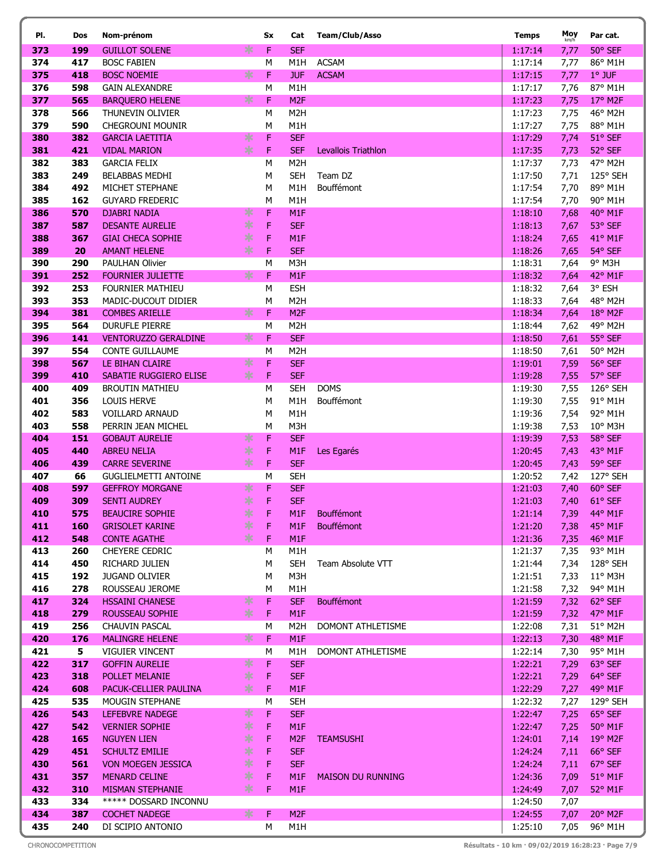| PI.        | Dos        | Nom-prénom                                    |          | Sx     | Cat                     | <b>Team/Club/Asso</b>    | <b>Temps</b>       | Moy<br>km/h  | Par cat.                     |
|------------|------------|-----------------------------------------------|----------|--------|-------------------------|--------------------------|--------------------|--------------|------------------------------|
| 373        | 199        | <b>GUILLOT SOLENE</b>                         | ∗        | F      | <b>SEF</b>              |                          | 1:17:14            | 7,77         | 50° SEF                      |
| 374        | 417        | <b>BOSC FABIEN</b>                            |          | М      | M1H                     | <b>ACSAM</b>             | 1:17:14            | 7,77         | 86° M1H                      |
| 375        | 418        | <b>BOSC NOEMIE</b>                            | ∗        | F      | <b>JUF</b>              | <b>ACSAM</b>             | 1:17:15            | 7,77         | $1°$ JUF                     |
| 376        | 598        | <b>GAIN ALEXANDRE</b>                         |          | М      | M1H                     |                          | 1:17:17            | 7,76         | 87° M1H                      |
| 377        | 565        | <b>BARQUERO HELENE</b>                        | ∗        | F      | M <sub>2F</sub>         |                          | 1:17:23            | 7,75         | 17° M2F                      |
| 378        | 566        | THUNEVIN OLIVIER                              |          | M      | M <sub>2</sub> H        |                          | 1:17:23            | 7,75         | 46° M2H                      |
| 379        | 590        | <b>CHEGROUNI MOUNIR</b>                       |          | М      | M1H                     |                          | 1:17:27            | 7,75         | 88° M1H                      |
| 380        | 382        | <b>GARCIA LAETITIA</b>                        | ∗        | F      | <b>SEF</b>              |                          | 1:17:29            | 7,74         | 51° SEF                      |
| 381        | 421        | <b>VIDAL MARION</b>                           | $*$      | F      | <b>SEF</b>              | Levallois Triathlon      | 1:17:35            | 7,73         | 52° SEF                      |
| 382        | 383        | <b>GARCIA FELIX</b>                           |          | M      | M <sub>2</sub> H        |                          | 1:17:37            | 7,73         | 47° M2H                      |
| 383        | 249        | <b>BELABBAS MEDHI</b>                         |          | М      | <b>SEH</b>              | Team DZ                  | 1:17:50            | 7,71         | 125° SEH                     |
| 384        | 492        | MICHET STEPHANE                               |          | М      | M1H                     | Bouffémont               | 1:17:54            | 7,70         | 89° M1H                      |
| 385<br>386 | 162<br>570 | <b>GUYARD FREDERIC</b><br><b>DJABRI NADIA</b> | ∗        | M<br>F | M <sub>1</sub> H<br>M1F |                          | 1:17:54<br>1:18:10 | 7,70         | 90° M1H<br>40° M1F           |
| 387        | 587        | <b>DESANTE AURELIE</b>                        | $*$      | F      | <b>SEF</b>              |                          | 1:18:13            | 7,68<br>7,67 | 53° SEF                      |
| 388        | 367        | <b>GIAI CHECA SOPHIE</b>                      | $*$      | F      | M1F                     |                          | 1:18:24            | 7,65         | 41° M1F                      |
| 389        | 20         | <b>AMANT HELENE</b>                           | ∗        | F      | <b>SEF</b>              |                          | 1:18:26            | 7,65         | 54° SEF                      |
| 390        | 290        | <b>PAULHAN Olivier</b>                        |          | M      | M3H                     |                          | 1:18:31            | 7,64         | 9° M3H                       |
| 391        | 252        | <b>FOURNIER JULIETTE</b>                      | ∗        | F      | M1F                     |                          | 1:18:32            | 7,64         | 42° M1F                      |
| 392        | 253        | <b>FOURNIER MATHIEU</b>                       |          | М      | <b>ESH</b>              |                          | 1:18:32            | 7,64         | 3° ESH                       |
| 393        | 353        | MADIC-DUCOUT DIDIER                           |          | M      | M <sub>2</sub> H        |                          | 1:18:33            | 7,64         | 48° M2H                      |
| 394        | 381        | <b>COMBES ARIELLE</b>                         | ∗        | F      | M <sub>2F</sub>         |                          | 1:18:34            | 7,64         | 18° M2F                      |
| 395        | 564        | <b>DURUFLE PIERRE</b>                         |          | M      | M <sub>2</sub> H        |                          | 1:18:44            | 7,62         | 49° M2H                      |
| 396        | 141        | <b>VENTORUZZO GERALDINE</b>                   | ∗        | F      | <b>SEF</b>              |                          | 1:18:50            | 7,61         | 55° SEF                      |
| 397        | 554        | <b>CONTE GUILLAUME</b>                        |          | M      | M <sub>2</sub> H        |                          | 1:18:50            | 7,61         | 50° M2H                      |
| 398        | 567        | LE BIHAN CLAIRE                               | ∗        | F      | <b>SEF</b>              |                          | 1:19:01            | 7,59         | 56° SEF                      |
| 399        | 410        | SABATIE RUGGIERO ELISE                        | $*$      | F      | <b>SEF</b>              |                          | 1:19:28            | 7,55         | 57° SEF                      |
| 400        | 409        | <b>BROUTIN MATHIEU</b>                        |          | M      | <b>SEH</b>              | <b>DOMS</b>              | 1:19:30            | 7,55         | 126° SEH                     |
| 401        | 356        | <b>LOUIS HERVE</b>                            |          | М      | M1H                     | Bouffémont               | 1:19:30            | 7,55         | 91° M1H                      |
| 402<br>403 | 583<br>558 | <b>VOILLARD ARNAUD</b><br>PERRIN JEAN MICHEL  |          | M<br>M | M1H<br>M3H              |                          | 1:19:36<br>1:19:38 | 7,54<br>7,53 | 92° M1H<br>10° M3H           |
| 404        | 151        | <b>GOBAUT AURELIE</b>                         | ∗        | F      | <b>SEF</b>              |                          | 1:19:39            | 7,53         | 58° SEF                      |
| 405        | 440        | <b>ABREU NELIA</b>                            | $*$      | F      | M1F                     | Les Egarés               | 1:20:45            | 7,43         | 43° M1F                      |
| 406        | 439        | <b>CARRE SEVERINE</b>                         | $*$      | F      | <b>SEF</b>              |                          | 1:20:45            | 7,43         | 59° SEF                      |
| 407        | 66         | <b>GUGLIELMETTI ANTOINE</b>                   |          | M      | <b>SEH</b>              |                          | 1:20:52            | 7,42         | 127° SEH                     |
| 408        | 597        | <b>GEFFROY MORGANE</b>                        | ∗        | F      | <b>SEF</b>              |                          | 1:21:03            | 7,40         | 60° SEF                      |
| 409        | 309        | <b>SENTI AUDREY</b>                           | ∗        | F      | <b>SEF</b>              |                          | 1:21:03            | 7,40         | $61^{\circ}$ SEF             |
| 410        | 575        | <b>BEAUCIRE SOPHIE</b>                        | $*$      | F      | M1F                     | Bouffémont               | 1:21:14            |              | 7,39 44° M1F                 |
| 411        | 160        | <b>GRISOLET KARINE</b>                        | ∗        | F      | M1F                     | Bouffémont               | 1:21:20            | 7,38         | $45^{\circ}$ M1F             |
| 412        | 548        | <b>CONTE AGATHE</b>                           | ∗        | F      | M <sub>1</sub> F        |                          | 1:21:36            | 7,35         | 46° M1F                      |
| 413        | 260        | <b>CHEYERE CEDRIC</b>                         |          | М      | M1H                     |                          | 1:21:37            | 7,35         | 93° M1H                      |
| 414        | 450        | RICHARD JULIEN                                |          | М      | <b>SEH</b>              | Team Absolute VTT        | 1:21:44            | 7,34         | 128° SEH                     |
| 415<br>416 | 192<br>278 | <b>JUGAND OLIVIER</b><br>ROUSSEAU JEROME      |          | М<br>М | M3H<br>M1H              |                          | 1:21:51<br>1:21:58 | 7,33<br>7,32 | $11^{\circ}$ M3H<br>94° M1H  |
| 417        | 324        | <b>HSSAINI CHANESE</b>                        | ∗        | F      | <b>SEF</b>              | <b>Bouffémont</b>        | 1:21:59            | 7,32         | 62° SEF                      |
| 418        | 279        | ROUSSEAU SOPHIE                               | $\ast$   | F      | M1F                     |                          | 1:21:59            | 7,32         | 47° M1F                      |
| 419        | 256        | CHAUVIN PASCAL                                |          | М      | M2H                     | DOMONT ATHLETISME        | 1:22:08            | 7,31         | 51° M2H                      |
| 420        | 176        | <b>MALINGRE HELENE</b>                        | ∗        | F      | M <sub>1</sub> F        |                          | 1:22:13            | 7,30         | 48° M1F                      |
| 421        | 5          | <b>VIGUIER VINCENT</b>                        |          | М      | M1H                     | DOMONT ATHLETISME        | 1:22:14            | 7,30         | 95° M1H                      |
| 422        | 317        | <b>GOFFIN AURELIE</b>                         | $\ast$   | F      | <b>SEF</b>              |                          | 1:22:21            | 7,29         | 63° SEF                      |
| 423        | 318        | POLLET MELANIE                                | ∗        | F      | <b>SEF</b>              |                          | 1:22:21            | 7,29         | 64° SEF                      |
| 424        | 608        | PACUK-CELLIER PAULINA                         | ∗        | F      | M <sub>1</sub> F        |                          | 1:22:29            | 7,27         | 49° M1F                      |
| 425        | 535        | MOUGIN STEPHANE                               |          | М      | <b>SEH</b>              |                          | 1:22:32            | 7,27         | 129° SEH                     |
| 426<br>427 | 543<br>542 | LEFEBVRE NADEGE                               | ∗<br>$*$ | F      | <b>SEF</b><br>M1F       |                          | 1:22:47            | 7,25<br>7,25 | 65° SEF                      |
| 428        | 165        | <b>VERNIER SOPHIE</b><br><b>NGUYEN LIEN</b>   | $*$      | F<br>F | M <sub>2F</sub>         | <b>TEAMSUSHI</b>         | 1:22:47<br>1:24:01 | 7,14         | $50^\circ$ M1F<br>$19°$ M2F  |
| 429        | 451        | <b>SCHULTZ EMILIE</b>                         | $*$      | F      | <b>SEF</b>              |                          | 1:24:24            | 7,11         | 66° SEF                      |
| 430        | 561        | <b>VON MOEGEN JESSICA</b>                     | $*$      | F      | <b>SEF</b>              |                          | 1:24:24            | 7,11         | 67° SEF                      |
| 431        | 357        | <b>MENARD CELINE</b>                          | ∗        | F      | M <sub>1</sub> F        | <b>MAISON DU RUNNING</b> | 1:24:36            | 7,09         | $51^\circ$ M1F               |
| 432        | 310        | <b>MISMAN STEPHANIE</b>                       | $*$      | F      | M1F                     |                          | 1:24:49            | 7,07         | 52° M1F                      |
| 433        | 334        | ***** DOSSARD INCONNU                         |          |        |                         |                          | 1:24:50            | 7,07         |                              |
| 434        | 387        | <b>COCHET NADEGE</b>                          | ∗.       | F      | M <sub>2F</sub>         |                          | 1:24:55            | 7,07         | $20^{\circ}$ M <sub>2F</sub> |
| 435        | 240        | DI SCIPIO ANTONIO                             |          | M      | M1H                     |                          | 1:25:10            | 7,05         | 96° M1H                      |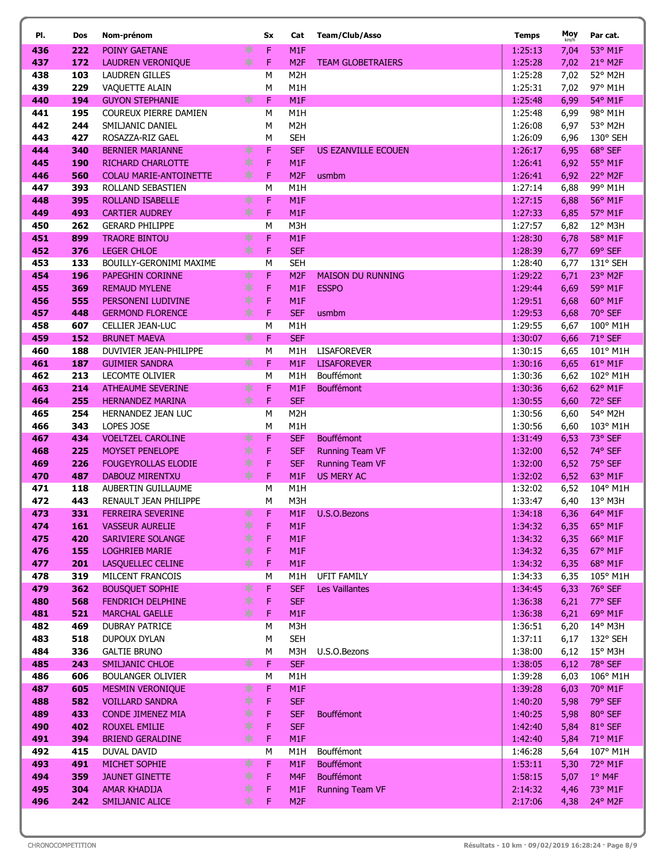| PI.        | Dos        | Nom-prénom                                  |        | Sx      | Cat              | <b>Team/Club/Asso</b>      | <b>Temps</b>       | Moy<br>km/h | Par cat.                         |
|------------|------------|---------------------------------------------|--------|---------|------------------|----------------------------|--------------------|-------------|----------------------------------|
| 436        | 222        | POINY GAETANE                               | ∗      | F       | M1F              |                            | 1:25:13            | 7,04        | 53° M1F                          |
| 437        | 172        | <b>LAUDREN VERONIQUE</b>                    | $\ast$ | F       | M <sub>2F</sub>  | <b>TEAM GLOBETRAIERS</b>   | 1:25:28            | 7,02        | 21° M2F                          |
| 438        | 103        | <b>LAUDREN GILLES</b>                       |        | М       | M <sub>2</sub> H |                            | 1:25:28            | 7,02        | 52° M2H                          |
| 439        | 229        | VAQUETTE ALAIN                              |        | M       | M1H              |                            | 1:25:31            | 7,02        | 97° M1H                          |
| 440        | 194        | <b>GUYON STEPHANIE</b>                      | ∗      | F       | M1F              |                            | 1:25:48            | 6,99        | 54° M1F                          |
| 441        | 195        | COUREUX PIERRE DAMIEN                       |        | М       | M <sub>1</sub> H |                            | 1:25:48            | 6,99        | 98° M1H                          |
| 442        | 244        | SMILJANIC DANIEL                            |        | M       | M <sub>2</sub> H |                            | 1:26:08            | 6,97        | 53° M2H                          |
| 443        | 427        | ROSAZZA-RIZ GAEL                            |        | М       | <b>SEH</b>       |                            | 1:26:09            | 6,96        | 130° SEH                         |
| 444        | 340        | <b>BERNIER MARIANNE</b>                     | ∗      | F       | <b>SEF</b>       | <b>US EZANVILLE ECOUEN</b> | 1:26:17            | 6,95        | 68° SEF                          |
| 445        | 190        | <b>RICHARD CHARLOTTE</b>                    | ∗      | F       | M <sub>1F</sub>  |                            | 1:26:41            | 6,92        | 55° M1F                          |
| 446        | 560        | COLAU MARIE-ANTOINETTE                      | ∗      | F       | M <sub>2F</sub>  | usmbm                      | 1:26:41            | 6,92        | 22° M2F                          |
| 447        | 393        | ROLLAND SEBASTIEN                           |        | M       | M <sub>1</sub> H |                            | 1:27:14            | 6,88        | 99° M1H                          |
| 448        | 395        | <b>ROLLAND ISABELLE</b>                     | ∗      | F       | M1F              |                            | 1:27:15            | 6,88        | 56° M1F                          |
| 449        | 493        | <b>CARTIER AUDREY</b>                       | ∗      | F       | M <sub>1</sub> F |                            | 1:27:33            | 6,85        | 57° M1F                          |
| 450        | 262        | <b>GERARD PHILIPPE</b>                      |        | M       | M3H              |                            | 1:27:57            | 6,82        | 12° M3H                          |
| 451        | 899        | <b>TRAORE BINTOU</b>                        | ∗      | F       | M1F              |                            | 1:28:30            | 6,78        | 58° M1F                          |
| 452        | 376        | <b>LEGER CHLOE</b>                          | ∗      | F       | <b>SEF</b>       |                            | 1:28:39            | 6,77        | 69° SEF                          |
| 453        | 133        | BOUILLY-GERONIMI MAXIME                     |        | M       | <b>SEH</b>       |                            | 1:28:40            | 6,77        | 131° SEH                         |
| 454        | 196        | <b>PAPEGHIN CORINNE</b>                     | ∗      | F       | M <sub>2F</sub>  | <b>MAISON DU RUNNING</b>   | 1:29:22            | 6,71        | 23° M2F                          |
| 455        | 369        | <b>REMAUD MYLENE</b>                        | $\ast$ | F       | M <sub>1</sub> F | <b>ESSPO</b>               | 1:29:44            | 6,69        | 59° M1F                          |
| 456        | 555        | PERSONENI LUDIVINE                          | ∗      | F       | M1F              |                            | 1:29:51            | 6,68        | 60° M1F                          |
| 457        | 448        | <b>GERMOND FLORENCE</b>                     | $\ast$ | F       | <b>SEF</b>       | usmbm                      | 1:29:53            | 6,68        | 70° SEF                          |
| 458        | 607        | <b>CELLIER JEAN-LUC</b>                     |        | M       | M <sub>1</sub> H |                            | 1:29:55            | 6,67        | 100° M1H                         |
| 459        | 152        | <b>BRUNET MAEVA</b>                         | ∗      | F       | <b>SEF</b>       |                            | 1:30:07            | 6,66        | 71° SEF                          |
| 460        | 188        | DUVIVIER JEAN-PHILIPPE                      |        | M       | M <sub>1</sub> H | <b>LISAFOREVER</b>         | 1:30:15            | 6,65        | 101° M1H                         |
| 461        | 187        | <b>GUIMIER SANDRA</b>                       | ∗      | F       | M <sub>1</sub> F | <b>LISAFOREVER</b>         | 1:30:16            | 6,65        | 61° M1F                          |
| 462        | 213        | <b>LECOMTE OLIVIER</b>                      |        | M       | M <sub>1</sub> H | Bouffémont                 | 1:30:36            | 6,62        | 102° M1H                         |
| 463        | 214        | <b>ATHEAUME SEVERINE</b>                    | ∗      | F       | M1F              | <b>Bouffémont</b>          | 1:30:36            | 6,62        | 62° M1F                          |
| 464        | 255        | <b>HERNANDEZ MARINA</b>                     | ∗      | F       | <b>SEF</b>       |                            | 1:30:55            | 6,60        | 72° SEF                          |
| 465        | 254        | HERNANDEZ JEAN LUC                          |        | М       | M <sub>2</sub> H |                            | 1:30:56            | 6,60        | 54° M2H                          |
| 466        | 343        | LOPES JOSE                                  |        | M       | M <sub>1</sub> H |                            | 1:30:56            | 6,60        | 103° M1H                         |
| 467        | 434        | <b>VOELTZEL CAROLINE</b>                    | ∗      | F       | <b>SEF</b>       | Bouffémont                 | 1:31:49            | 6,53        | 73° SEF                          |
| 468        | 225        | <b>MOYSET PENELOPE</b>                      | ∗      | F       | <b>SEF</b>       | <b>Running Team VF</b>     | 1:32:00            | 6,52        | 74° SEF                          |
| 469        | 226        | <b>FOUGEYROLLAS ELODIE</b>                  | ∗      | F       | <b>SEF</b>       | <b>Running Team VF</b>     | 1:32:00            | 6,52        | 75° SEF                          |
| 470        | 487        | DABOUZ MIRENTXU                             | $\ast$ | F       | M <sub>1F</sub>  | <b>US MERY AC</b>          | 1:32:02            | 6,52        | 63° M1F                          |
| 471        | 118        | AUBERTIN GUILLAUME                          |        | M       | M <sub>1</sub> H |                            | 1:32:02            | 6,52        | 104° M1H                         |
| 472        | 443        | RENAULT JEAN PHILIPPE                       | *      | М       | M3H              |                            | 1:33:47            | 6,40        | 13° M3H                          |
| 473<br>474 | 331<br>161 | FERREIRA SEVERINE<br><b>VASSEUR AURELIE</b> | ∗      | F.<br>F | M <sub>1</sub> F | M1F U.S.O.Bezons           | 1:34:18<br>1:34:32 | 6,35        | 6,36 64° M1F<br>$65^{\circ}$ M1F |
| 475        | 420        | <b>SARIVIERE SOLANGE</b>                    | ∗      | F       | M <sub>1</sub> F |                            | 1:34:32            | 6,35        | 66° M1F                          |
| 476        | 155        | <b>LOGHRIEB MARIE</b>                       | ∗      | F       | M1F              |                            | 1:34:32            | 6,35        | $67^\circ$ M1F                   |
| 477        | 201        | LASQUELLEC CELINE                           | ∗      | F       | M <sub>1</sub> F |                            | 1:34:32            | 6,35        | 68° M1F                          |
| 478        | 319        | MILCENT FRANCOIS                            |        | м       | M1H              | UFIT FAMILY                | 1:34:33            | 6,35        | 105° M1H                         |
| 479        | 362        | <b>BOUSQUET SOPHIE</b>                      | ∗      | F       | <b>SEF</b>       | <b>Les Vaillantes</b>      | 1:34:45            | 6,33        | 76° SEF                          |
| 480        | 568        | <b>FENDRICH DELPHINE</b>                    | $\ast$ | F       | <b>SEF</b>       |                            | 1:36:38            | 6,21        | 77° SEF                          |
| 481        | 521        | <b>MARCHAL GAELLE</b>                       | $\ast$ | F       | M1F              |                            | 1:36:38            | 6,21        | 69° M1F                          |
| 482        | 469        | <b>DUBRAY PATRICE</b>                       |        | М       | M3H              |                            | 1:36:51            | 6,20        | 14° M3H                          |
| 483        | 518        | DUPOUX DYLAN                                |        | М       | <b>SEH</b>       |                            | 1:37:11            | 6,17        | 132° SEH                         |
| 484        | 336        | <b>GALTIE BRUNO</b>                         |        | М       | M3H              | U.S.O.Bezons               | 1:38:00            | 6,12        | 15° M3H                          |
| 485        | 243        | SMILJANIC CHLOE                             | ⋇      | F       | <b>SEF</b>       |                            | 1:38:05            | 6,12        | 78° SEF                          |
| 486        | 606        | <b>BOULANGER OLIVIER</b>                    |        | M       | M1H              |                            | 1:39:28            | 6,03        | 106° M1H                         |
| 487        | 605        | <b>MESMIN VERONIQUE</b>                     | ∗      | F       | M1F              |                            | 1:39:28            | 6,03        | 70° M1F                          |
| 488        | 582        | <b>VOILLARD SANDRA</b>                      | ∗      | F       | <b>SEF</b>       |                            | 1:40:20            | 5,98        | 79° SEF                          |
| 489        | 433        | <b>CONDE JIMENEZ MIA</b>                    | ∗      | F       | <b>SEF</b>       | <b>Bouffémont</b>          | 1:40:25            | 5,98        | 80° SEF                          |
| 490        | 402        | <b>ROUXEL EMILIE</b>                        | ∗      | F       | <b>SEF</b>       |                            | 1:42:40            | 5,84        | 81° SEF                          |
| 491        | 394        | <b>BRIEND GERALDINE</b>                     | ∗      | F       | M <sub>1</sub> F |                            | 1:42:40            | 5,84        | 71° M1F                          |
| 492        | 415        | DUVAL DAVID                                 |        | м       | M1H              | <b>Bouffémont</b>          | 1:46:28            | 5,64        | 107° M1H                         |
| 493        | 491        | MICHET SOPHIE                               | ∗      | F       | M <sub>1</sub> F | <b>Bouffémont</b>          | 1:53:11            | 5,30        | 72° M1F                          |
| 494        | 359        | <b>JAUNET GINETTE</b>                       | ∗      | F       | M4F              | Bouffémont                 | 1:58:15            | 5,07        | $1^{\circ}$ M4F                  |
| 495        | 304        | <b>AMAR KHADIJA</b>                         | ∗      | F       | M1F              | <b>Running Team VF</b>     | 2:14:32            | 4,46        | 73° M1F                          |
| 496        | 242        | SMILJANIC ALICE                             | $\ast$ | F       | M <sub>2F</sub>  |                            | 2:17:06            | 4,38        | $24^{\circ}$ M2F                 |